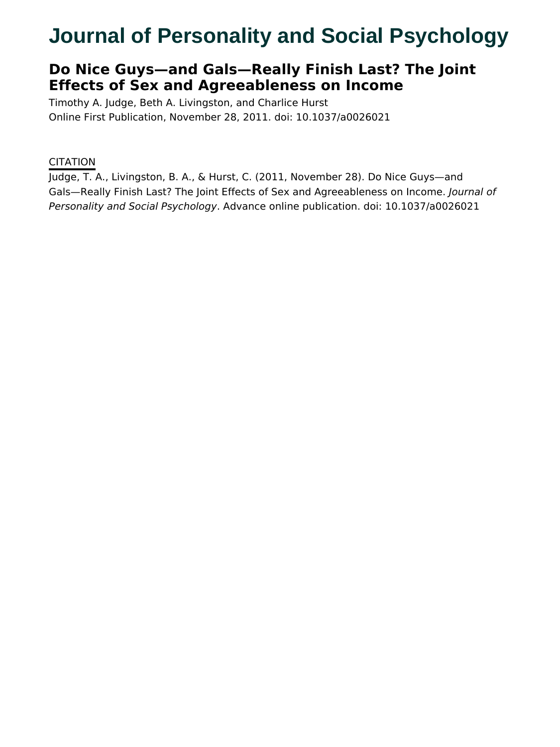# **Journal of Personality and Social Psychology**

# **Do Nice Guys—and Gals—Really Finish Last? The Joint Effects of Sex and Agreeableness on Income**

Timothy A. Judge, Beth A. Livingston, and Charlice Hurst Online First Publication, November 28, 2011. doi: 10.1037/a0026021

# **CITATION**

Judge, T. A., Livingston, B. A., & Hurst, C. (2011, November 28). Do Nice Guys—and Gals—Really Finish Last? The Joint Effects of Sex and Agreeableness on Income. Journal of Personality and Social Psychology. Advance online publication. doi: 10.1037/a0026021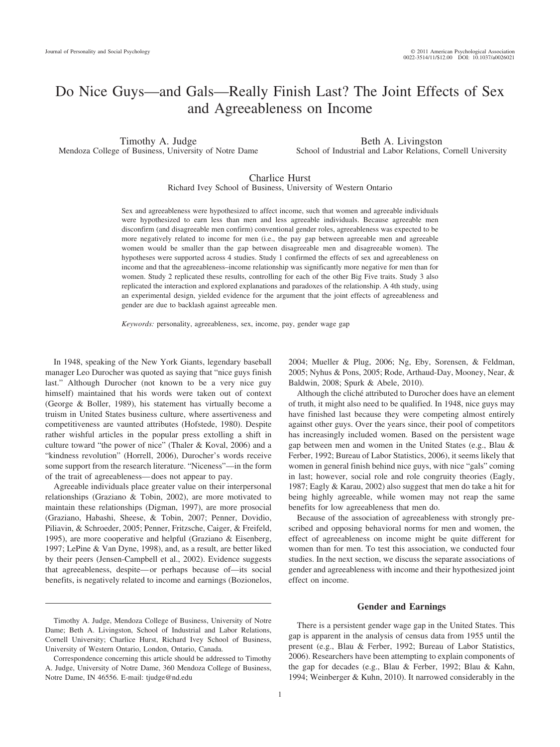# Do Nice Guys—and Gals—Really Finish Last? The Joint Effects of Sex and Agreeableness on Income

Timothy A. Judge Mendoza College of Business, University of Notre Dame

Beth A. Livingston School of Industrial and Labor Relations, Cornell University

# Charlice Hurst Richard Ivey School of Business, University of Western Ontario

Sex and agreeableness were hypothesized to affect income, such that women and agreeable individuals were hypothesized to earn less than men and less agreeable individuals. Because agreeable men disconfirm (and disagreeable men confirm) conventional gender roles, agreeableness was expected to be more negatively related to income for men (i.e., the pay gap between agreeable men and agreeable women would be smaller than the gap between disagreeable men and disagreeable women). The hypotheses were supported across 4 studies. Study 1 confirmed the effects of sex and agreeableness on income and that the agreeableness–income relationship was significantly more negative for men than for women. Study 2 replicated these results, controlling for each of the other Big Five traits. Study 3 also replicated the interaction and explored explanations and paradoxes of the relationship. A 4th study, using an experimental design, yielded evidence for the argument that the joint effects of agreeableness and gender are due to backlash against agreeable men.

*Keywords:* personality, agreeableness, sex, income, pay, gender wage gap

In 1948, speaking of the New York Giants, legendary baseball manager Leo Durocher was quoted as saying that "nice guys finish last." Although Durocher (not known to be a very nice guy himself) maintained that his words were taken out of context (George & Boller, 1989), his statement has virtually become a truism in United States business culture, where assertiveness and competitiveness are vaunted attributes (Hofstede, 1980). Despite rather wishful articles in the popular press extolling a shift in culture toward "the power of nice" (Thaler & Koval, 2006) and a "kindness revolution" (Horrell, 2006), Durocher's words receive some support from the research literature. "Niceness"—in the form of the trait of agreeableness— does not appear to pay.

Agreeable individuals place greater value on their interpersonal relationships (Graziano & Tobin, 2002), are more motivated to maintain these relationships (Digman, 1997), are more prosocial (Graziano, Habashi, Sheese, & Tobin, 2007; Penner, Dovidio, Piliavin, & Schroeder, 2005; Penner, Fritzsche, Caiger, & Freifeld, 1995), are more cooperative and helpful (Graziano & Eisenberg, 1997; LePine & Van Dyne, 1998), and, as a result, are better liked by their peers (Jensen-Campbell et al., 2002). Evidence suggests that agreeableness, despite— or perhaps because of—its social benefits, is negatively related to income and earnings (Bozionelos, 2004; Mueller & Plug, 2006; Ng, Eby, Sorensen, & Feldman, 2005; Nyhus & Pons, 2005; Rode, Arthaud-Day, Mooney, Near, & Baldwin, 2008; Spurk & Abele, 2010).

Although the cliché attributed to Durocher does have an element of truth, it might also need to be qualified. In 1948, nice guys may have finished last because they were competing almost entirely against other guys. Over the years since, their pool of competitors has increasingly included women. Based on the persistent wage gap between men and women in the United States (e.g., Blau & Ferber, 1992; Bureau of Labor Statistics, 2006), it seems likely that women in general finish behind nice guys, with nice "gals" coming in last; however, social role and role congruity theories (Eagly, 1987; Eagly & Karau, 2002) also suggest that men do take a hit for being highly agreeable, while women may not reap the same benefits for low agreeableness that men do.

Because of the association of agreeableness with strongly prescribed and opposing behavioral norms for men and women, the effect of agreeableness on income might be quite different for women than for men. To test this association, we conducted four studies. In the next section, we discuss the separate associations of gender and agreeableness with income and their hypothesized joint effect on income.

#### **Gender and Earnings**

There is a persistent gender wage gap in the United States. This gap is apparent in the analysis of census data from 1955 until the present (e.g., Blau & Ferber, 1992; Bureau of Labor Statistics, 2006). Researchers have been attempting to explain components of the gap for decades (e.g., Blau & Ferber, 1992; Blau & Kahn, 1994; Weinberger & Kuhn, 2010). It narrowed considerably in the

Timothy A. Judge, Mendoza College of Business, University of Notre Dame; Beth A. Livingston, School of Industrial and Labor Relations, Cornell University; Charlice Hurst, Richard Ivey School of Business, University of Western Ontario, London, Ontario, Canada.

Correspondence concerning this article should be addressed to Timothy A. Judge, University of Notre Dame, 360 Mendoza College of Business, Notre Dame, IN 46556. E-mail: tjudge@nd.edu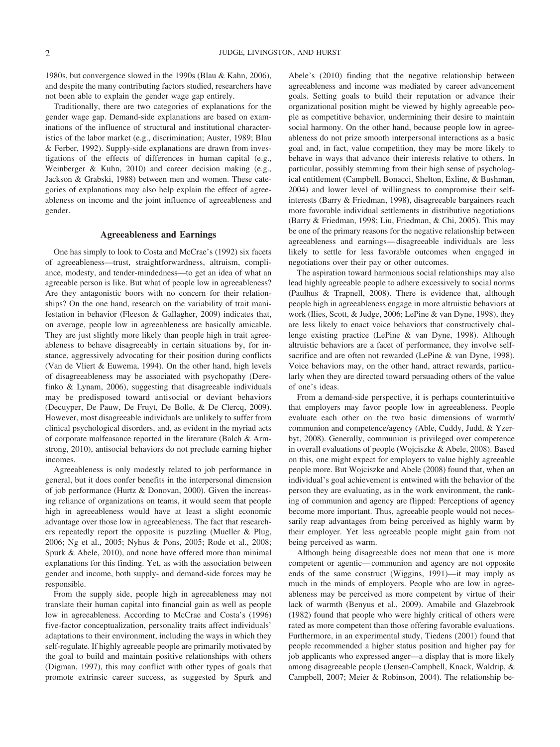1980s, but convergence slowed in the 1990s (Blau & Kahn, 2006), and despite the many contributing factors studied, researchers have not been able to explain the gender wage gap entirely.

Traditionally, there are two categories of explanations for the gender wage gap. Demand-side explanations are based on examinations of the influence of structural and institutional characteristics of the labor market (e.g., discrimination; Auster, 1989; Blau & Ferber, 1992). Supply-side explanations are drawn from investigations of the effects of differences in human capital (e.g., Weinberger & Kuhn, 2010) and career decision making (e.g., Jackson & Grabski, 1988) between men and women. These categories of explanations may also help explain the effect of agreeableness on income and the joint influence of agreeableness and gender.

# **Agreeableness and Earnings**

One has simply to look to Costa and McCrae's (1992) six facets of agreeableness—trust, straightforwardness, altruism, compliance, modesty, and tender-mindedness—to get an idea of what an agreeable person is like. But what of people low in agreeableness? Are they antagonistic boors with no concern for their relationships? On the one hand, research on the variability of trait manifestation in behavior (Fleeson & Gallagher, 2009) indicates that, on average, people low in agreeableness are basically amicable. They are just slightly more likely than people high in trait agreeableness to behave disagreeably in certain situations by, for instance, aggressively advocating for their position during conflicts (Van de Vliert & Euwema, 1994). On the other hand, high levels of disagreeableness may be associated with psychopathy (Derefinko & Lynam, 2006), suggesting that disagreeable individuals may be predisposed toward antisocial or deviant behaviors (Decuyper, De Pauw, De Fruyt, De Bolle, & De Clercq, 2009). However, most disagreeable individuals are unlikely to suffer from clinical psychological disorders, and, as evident in the myriad acts of corporate malfeasance reported in the literature (Balch & Armstrong, 2010), antisocial behaviors do not preclude earning higher incomes.

Agreeableness is only modestly related to job performance in general, but it does confer benefits in the interpersonal dimension of job performance (Hurtz & Donovan, 2000). Given the increasing reliance of organizations on teams, it would seem that people high in agreeableness would have at least a slight economic advantage over those low in agreeableness. The fact that researchers repeatedly report the opposite is puzzling (Mueller & Plug, 2006; Ng et al., 2005; Nyhus & Pons, 2005; Rode et al., 2008; Spurk & Abele, 2010), and none have offered more than minimal explanations for this finding. Yet, as with the association between gender and income, both supply- and demand-side forces may be responsible.

From the supply side, people high in agreeableness may not translate their human capital into financial gain as well as people low in agreeableness. According to McCrae and Costa's (1996) five-factor conceptualization, personality traits affect individuals' adaptations to their environment, including the ways in which they self-regulate. If highly agreeable people are primarily motivated by the goal to build and maintain positive relationships with others (Digman, 1997), this may conflict with other types of goals that promote extrinsic career success, as suggested by Spurk and Abele's (2010) finding that the negative relationship between agreeableness and income was mediated by career advancement goals. Setting goals to build their reputation or advance their organizational position might be viewed by highly agreeable people as competitive behavior, undermining their desire to maintain social harmony. On the other hand, because people low in agreeableness do not prize smooth interpersonal interactions as a basic goal and, in fact, value competition, they may be more likely to behave in ways that advance their interests relative to others. In particular, possibly stemming from their high sense of psychological entitlement (Campbell, Bonacci, Shelton, Exline, & Bushman, 2004) and lower level of willingness to compromise their selfinterests (Barry & Friedman, 1998), disagreeable bargainers reach more favorable individual settlements in distributive negotiations (Barry & Friedman, 1998; Liu, Friedman, & Chi, 2005). This may be one of the primary reasons for the negative relationship between agreeableness and earnings— disagreeable individuals are less likely to settle for less favorable outcomes when engaged in negotiations over their pay or other outcomes.

The aspiration toward harmonious social relationships may also lead highly agreeable people to adhere excessively to social norms (Paulhus & Trapnell, 2008). There is evidence that, although people high in agreeableness engage in more altruistic behaviors at work (Ilies, Scott, & Judge, 2006; LePine & van Dyne, 1998), they are less likely to enact voice behaviors that constructively challenge existing practice (LePine & van Dyne, 1998). Although altruistic behaviors are a facet of performance, they involve selfsacrifice and are often not rewarded (LePine & van Dyne, 1998). Voice behaviors may, on the other hand, attract rewards, particularly when they are directed toward persuading others of the value of one's ideas.

From a demand-side perspective, it is perhaps counterintuitive that employers may favor people low in agreeableness. People evaluate each other on the two basic dimensions of warmth/ communion and competence/agency (Able, Cuddy, Judd, & Yzerbyt, 2008). Generally, communion is privileged over competence in overall evaluations of people (Wojciszke & Abele, 2008). Based on this, one might expect for employers to value highly agreeable people more. But Wojciszke and Abele (2008) found that, when an individual's goal achievement is entwined with the behavior of the person they are evaluating, as in the work environment, the ranking of communion and agency are flipped: Perceptions of agency become more important. Thus, agreeable people would not necessarily reap advantages from being perceived as highly warm by their employer. Yet less agreeable people might gain from not being perceived as warm.

Although being disagreeable does not mean that one is more competent or agentic— communion and agency are not opposite ends of the same construct (Wiggins, 1991)—it may imply as much in the minds of employers. People who are low in agreeableness may be perceived as more competent by virtue of their lack of warmth (Benyus et al., 2009). Amabile and Glazebrook (1982) found that people who were highly critical of others were rated as more competent than those offering favorable evaluations. Furthermore, in an experimental study, Tiedens (2001) found that people recommended a higher status position and higher pay for job applicants who expressed anger—a display that is more likely among disagreeable people (Jensen-Campbell, Knack, Waldrip, & Campbell, 2007; Meier & Robinson, 2004). The relationship be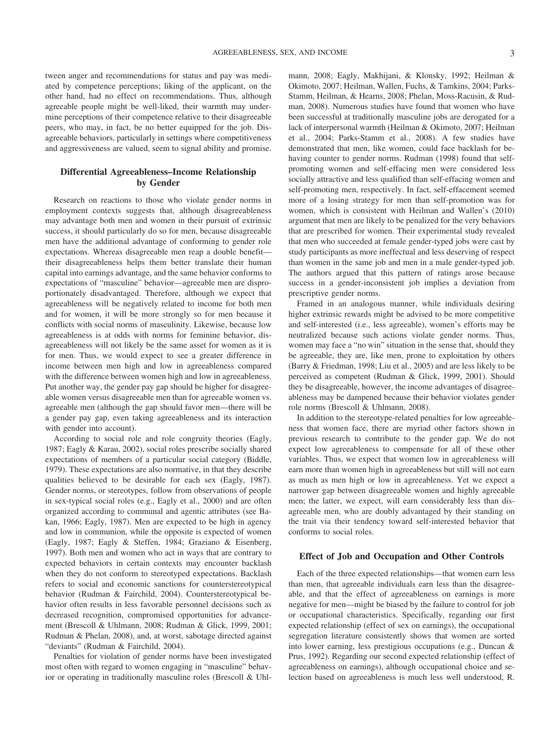tween anger and recommendations for status and pay was mediated by competence perceptions; liking of the applicant, on the other hand, had no effect on recommendations. Thus, although agreeable people might be well-liked, their warmth may undermine perceptions of their competence relative to their disagreeable peers, who may, in fact, be no better equipped for the job. Disagreeable behaviors, particularly in settings where competitiveness and aggressiveness are valued, seem to signal ability and promise.

# **Differential Agreeableness–Income Relationship by Gender**

Research on reactions to those who violate gender norms in employment contexts suggests that, although disagreeableness may advantage both men and women in their pursuit of extrinsic success, it should particularly do so for men, because disagreeable men have the additional advantage of conforming to gender role expectations. Whereas disagreeable men reap a double benefit their disagreeableness helps them better translate their human capital into earnings advantage, and the same behavior conforms to expectations of "masculine" behavior—agreeable men are disproportionately disadvantaged. Therefore, although we expect that agreeableness will be negatively related to income for both men and for women, it will be more strongly so for men because it conflicts with social norms of masculinity. Likewise, because low agreeableness is at odds with norms for feminine behavior, disagreeableness will not likely be the same asset for women as it is for men. Thus, we would expect to see a greater difference in income between men high and low in agreeableness compared with the difference between women high and low in agreeableness. Put another way, the gender pay gap should be higher for disagreeable women versus disagreeable men than for agreeable women vs. agreeable men (although the gap should favor men—there will be a gender pay gap, even taking agreeableness and its interaction with gender into account).

According to social role and role congruity theories (Eagly, 1987; Eagly & Karau, 2002), social roles prescribe socially shared expectations of members of a particular social category (Biddle, 1979). These expectations are also normative, in that they describe qualities believed to be desirable for each sex (Eagly, 1987). Gender norms, or stereotypes, follow from observations of people in sex-typical social roles (e.g., Eagly et al., 2000) and are often organized according to communal and agentic attributes (see Bakan, 1966; Eagly, 1987). Men are expected to be high in agency and low in communion, while the opposite is expected of women (Eagly, 1987; Eagly & Steffen, 1984; Graziano & Eisenberg, 1997). Both men and women who act in ways that are contrary to expected behaviors in certain contexts may encounter backlash when they do not conform to stereotyped expectations. Backlash refers to social and economic sanctions for counterstereotypical behavior (Rudman & Fairchild, 2004). Counterstereotypical behavior often results in less favorable personnel decisions such as decreased recognition, compromised opportunities for advancement (Brescoll & Uhlmann, 2008; Rudman & Glick, 1999, 2001; Rudman & Phelan, 2008), and, at worst, sabotage directed against "deviants" (Rudman & Fairchild, 2004).

Penalties for violation of gender norms have been investigated most often with regard to women engaging in "masculine" behavior or operating in traditionally masculine roles (Brescoll & Uhlmann, 2008; Eagly, Makhijani, & Klonsky, 1992; Heilman & Okimoto, 2007; Heilman, Wallen, Fuchs, & Tamkins, 2004; Parks-Stamm, Heilman, & Hearns, 2008; Phelan, Moss-Racusin, & Rudman, 2008). Numerous studies have found that women who have been successful at traditionally masculine jobs are derogated for a lack of interpersonal warmth (Heilman & Okimoto, 2007; Heilman et al., 2004; Parks-Stamm et al., 2008). A few studies have demonstrated that men, like women, could face backlash for behaving counter to gender norms. Rudman (1998) found that selfpromoting women and self-effacing men were considered less socially attractive and less qualified than self-effacing women and self-promoting men, respectively. In fact, self-effacement seemed more of a losing strategy for men than self-promotion was for women, which is consistent with Heilman and Wallen's (2010) argument that men are likely to be penalized for the very behaviors that are prescribed for women. Their experimental study revealed that men who succeeded at female gender-typed jobs were cast by study participants as more ineffectual and less deserving of respect than women in the same job and men in a male gender-typed job. The authors argued that this pattern of ratings arose because success in a gender-inconsistent job implies a deviation from prescriptive gender norms.

Framed in an analogous manner, while individuals desiring higher extrinsic rewards might be advised to be more competitive and self-interested (i.e., less agreeable), women's efforts may be neutralized because such actions violate gender norms. Thus, women may face a "no win" situation in the sense that, should they be agreeable, they are, like men, prone to exploitation by others (Barry & Friedman, 1998; Liu et al., 2005) and are less likely to be perceived as competent (Rudman & Glick, 1999, 2001). Should they be disagreeable, however, the income advantages of disagreeableness may be dampened because their behavior violates gender role norms (Brescoll & Uhlmann, 2008).

In addition to the stereotype-related penalties for low agreeableness that women face, there are myriad other factors shown in previous research to contribute to the gender gap. We do not expect low agreeableness to compensate for all of these other variables. Thus, we expect that women low in agreeableness will earn more than women high in agreeableness but still will not earn as much as men high or low in agreeableness. Yet we expect a narrower gap between disagreeable women and highly agreeable men; the latter, we expect, will earn considerably less than disagreeable men, who are doubly advantaged by their standing on the trait via their tendency toward self-interested behavior that conforms to social roles.

# **Effect of Job and Occupation and Other Controls**

Each of the three expected relationships—that women earn less than men, that agreeable individuals earn less than the disagreeable, and that the effect of agreeableness on earnings is more negative for men—might be biased by the failure to control for job or occupational characteristics. Specifically, regarding our first expected relationship (effect of sex on earnings), the occupational segregation literature consistently shows that women are sorted into lower earning, less prestigious occupations (e.g., Duncan & Prus, 1992). Regarding our second expected relationship (effect of agreeableness on earnings), although occupational choice and selection based on agreeableness is much less well understood, R.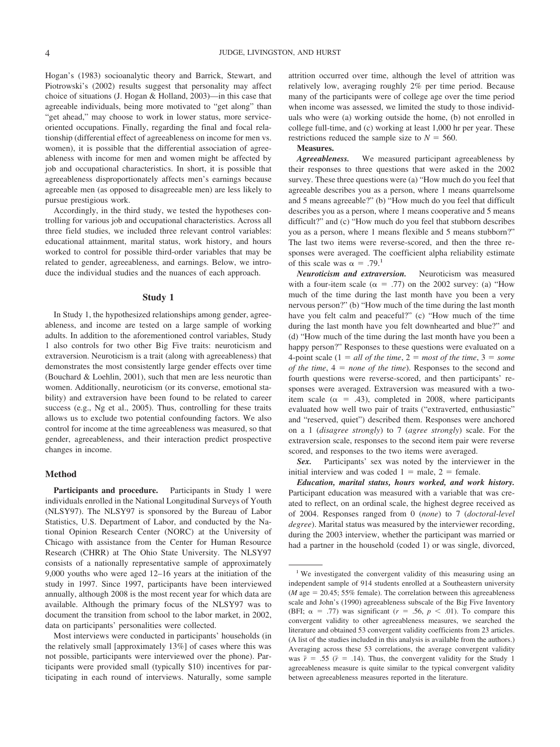Hogan's (1983) socioanalytic theory and Barrick, Stewart, and Piotrowski's (2002) results suggest that personality may affect choice of situations (J. Hogan & Holland, 2003)—in this case that agreeable individuals, being more motivated to "get along" than "get ahead," may choose to work in lower status, more serviceoriented occupations. Finally, regarding the final and focal relationship (differential effect of agreeableness on income for men vs. women), it is possible that the differential association of agreeableness with income for men and women might be affected by job and occupational characteristics. In short, it is possible that agreeableness disproportionately affects men's earnings because agreeable men (as opposed to disagreeable men) are less likely to pursue prestigious work.

Accordingly, in the third study, we tested the hypotheses controlling for various job and occupational characteristics. Across all three field studies, we included three relevant control variables: educational attainment, marital status, work history, and hours worked to control for possible third-order variables that may be related to gender, agreeableness, and earnings. Below, we introduce the individual studies and the nuances of each approach.

#### **Study 1**

In Study 1, the hypothesized relationships among gender, agreeableness, and income are tested on a large sample of working adults. In addition to the aforementioned control variables, Study 1 also controls for two other Big Five traits: neuroticism and extraversion. Neuroticism is a trait (along with agreeableness) that demonstrates the most consistently large gender effects over time (Bouchard & Loehlin, 2001), such that men are less neurotic than women. Additionally, neuroticism (or its converse, emotional stability) and extraversion have been found to be related to career success (e.g., Ng et al., 2005). Thus, controlling for these traits allows us to exclude two potential confounding factors. We also control for income at the time agreeableness was measured, so that gender, agreeableness, and their interaction predict prospective changes in income.

#### **Method**

Participants and procedure. Participants in Study 1 were individuals enrolled in the National Longitudinal Surveys of Youth (NLSY97). The NLSY97 is sponsored by the Bureau of Labor Statistics, U.S. Department of Labor, and conducted by the National Opinion Research Center (NORC) at the University of Chicago with assistance from the Center for Human Resource Research (CHRR) at The Ohio State University. The NLSY97 consists of a nationally representative sample of approximately 9,000 youths who were aged 12–16 years at the initiation of the study in 1997. Since 1997, participants have been interviewed annually, although 2008 is the most recent year for which data are available. Although the primary focus of the NLSY97 was to document the transition from school to the labor market, in 2002, data on participants' personalities were collected.

Most interviews were conducted in participants' households (in the relatively small [approximately 13%] of cases where this was not possible, participants were interviewed over the phone). Participants were provided small (typically \$10) incentives for participating in each round of interviews. Naturally, some sample

attrition occurred over time, although the level of attrition was relatively low, averaging roughly 2% per time period. Because many of the participants were of college age over the time period when income was assessed, we limited the study to those individuals who were (a) working outside the home, (b) not enrolled in college full-time, and (c) working at least 1,000 hr per year. These restrictions reduced the sample size to  $N = 560$ .

# **Measures.**

*Agreeableness.* We measured participant agreeableness by their responses to three questions that were asked in the 2002 survey. These three questions were (a) "How much do you feel that agreeable describes you as a person, where 1 means quarrelsome and 5 means agreeable?" (b) "How much do you feel that difficult describes you as a person, where 1 means cooperative and 5 means difficult?" and (c) "How much do you feel that stubborn describes you as a person, where 1 means flexible and 5 means stubborn?" The last two items were reverse-scored, and then the three responses were averaged. The coefficient alpha reliability estimate of this scale was  $\alpha = .79$ <sup>1</sup>

*Neuroticism and extraversion.* Neuroticism was measured with a four-item scale ( $\alpha = .77$ ) on the 2002 survey: (a) "How much of the time during the last month have you been a very nervous person?" (b) "How much of the time during the last month have you felt calm and peaceful?" (c) "How much of the time during the last month have you felt downhearted and blue?" and (d) "How much of the time during the last month have you been a happy person?" Responses to these questions were evaluated on a 4-point scale  $(1 = all of the time, 2 = most of the time, 3 = some$ *of the time*,  $4 = none$  *of the time*). Responses to the second and fourth questions were reverse-scored, and then participants' responses were averaged. Extraversion was measured with a twoitem scale ( $\alpha = .43$ ), completed in 2008, where participants evaluated how well two pair of traits ("extraverted, enthusiastic" and "reserved, quiet") described them. Responses were anchored on a 1 (*disagree strongly*) to 7 (*agree strongly*) scale. For the extraversion scale, responses to the second item pair were reverse scored, and responses to the two items were averaged.

Sex. Participants' sex was noted by the interviewer in the initial interview and was coded  $1 =$  male,  $2 =$  female.

*Education, marital status, hours worked, and work history.* Participant education was measured with a variable that was created to reflect, on an ordinal scale, the highest degree received as of 2004. Responses ranged from 0 (*none*) to 7 (*doctoral-level degree*). Marital status was measured by the interviewer recording, during the 2003 interview, whether the participant was married or had a partner in the household (coded 1) or was single, divorced,

<sup>&</sup>lt;sup>1</sup> We investigated the convergent validity of this measuring using an independent sample of 914 students enrolled at a Southeastern university ( $M$  age  $= 20.45$ ; 55% female). The correlation between this agreeableness scale and John's (1990) agreeableness subscale of the Big Five Inventory (BFI;  $\alpha = .77$ ) was significant ( $r = .56$ ,  $p < .01$ ). To compare this convergent validity to other agreeableness measures, we searched the literature and obtained 53 convergent validity coefficients from 23 articles. (A list of the studies included in this analysis is available from the authors.) Averaging across these 53 correlations, the average convergent validity was  $\bar{r}$  = .55 ( $\bar{r}$  = .14). Thus, the convergent validity for the Study 1 agreeableness measure is quite similar to the typical convergent validity between agreeableness measures reported in the literature.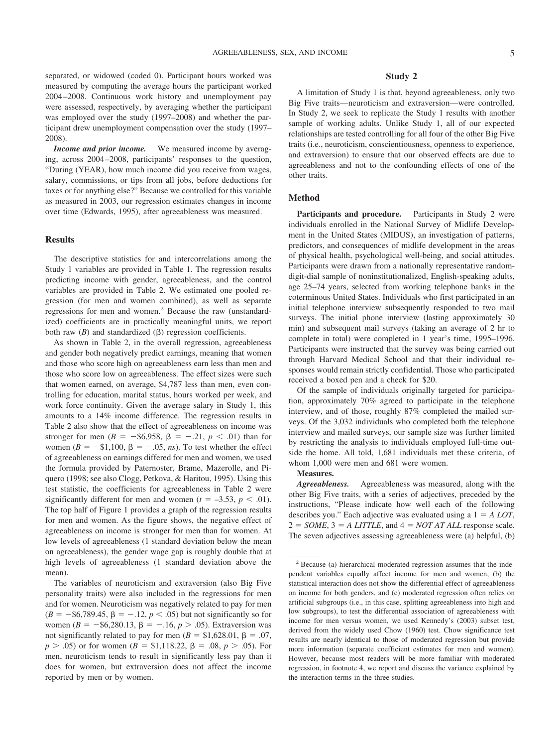separated, or widowed (coded 0). Participant hours worked was measured by computing the average hours the participant worked 2004 –2008. Continuous work history and unemployment pay were assessed, respectively, by averaging whether the participant was employed over the study (1997–2008) and whether the participant drew unemployment compensation over the study (1997– 2008).

*Income and prior income.* We measured income by averaging, across 2004 –2008, participants' responses to the question, "During (YEAR), how much income did you receive from wages, salary, commissions, or tips from all jobs, before deductions for taxes or for anything else?" Because we controlled for this variable as measured in 2003, our regression estimates changes in income over time (Edwards, 1995), after agreeableness was measured.

# **Results**

The descriptive statistics for and intercorrelations among the Study 1 variables are provided in Table 1. The regression results predicting income with gender, agreeableness, and the control variables are provided in Table 2. We estimated one pooled regression (for men and women combined), as well as separate regressions for men and women.<sup>2</sup> Because the raw (unstandardized) coefficients are in practically meaningful units, we report both raw  $(B)$  and standardized  $(\beta)$  regression coefficients.

As shown in Table 2, in the overall regression, agreeableness and gender both negatively predict earnings, meaning that women and those who score high on agreeableness earn less than men and those who score low on agreeableness. The effect sizes were such that women earned, on average, \$4,787 less than men, even controlling for education, marital status, hours worked per week, and work force continuity. Given the average salary in Study 1, this amounts to a 14% income difference. The regression results in Table 2 also show that the effect of agreeableness on income was stronger for men ( $B = -\$6,958$ ,  $\beta = -.21$ ,  $p < .01$ ) than for women ( $B = -\$1,100, \beta = -.05, ns$ ). To test whether the effect of agreeableness on earnings differed for men and women, we used the formula provided by Paternoster, Brame, Mazerolle, and Piquero (1998; see also Clogg, Petkova, & Haritou, 1995). Using this test statistic, the coefficients for agreeableness in Table 2 were significantly different for men and women ( $t = -3.53$ ,  $p < .01$ ). The top half of Figure 1 provides a graph of the regression results for men and women. As the figure shows, the negative effect of agreeableness on income is stronger for men than for women. At low levels of agreeableness (1 standard deviation below the mean on agreeableness), the gender wage gap is roughly double that at high levels of agreeableness (1 standard deviation above the mean).

The variables of neuroticism and extraversion (also Big Five personality traits) were also included in the regressions for men and for women. Neuroticism was negatively related to pay for men  $(B = -\$6,789.45, \beta = -.12, p < .05)$  but not significantly so for women ( $B = -\$6,280.13, \beta = -.16, p > .05$ ). Extraversion was not significantly related to pay for men  $(B = $1,628.01, \beta = .07,$  $p > .05$ ) or for women (*B* = \$1,118.22,  $\beta$  = .08,  $p > .05$ ). For men, neuroticism tends to result in significantly less pay than it does for women, but extraversion does not affect the income reported by men or by women.

# **Study 2**

A limitation of Study 1 is that, beyond agreeableness, only two Big Five traits—neuroticism and extraversion—were controlled. In Study 2, we seek to replicate the Study 1 results with another sample of working adults. Unlike Study 1, all of our expected relationships are tested controlling for all four of the other Big Five traits (i.e., neuroticism, conscientiousness, openness to experience, and extraversion) to ensure that our observed effects are due to agreeableness and not to the confounding effects of one of the other traits.

### **Method**

**Participants and procedure.** Participants in Study 2 were individuals enrolled in the National Survey of Midlife Development in the United States (MIDUS), an investigation of patterns, predictors, and consequences of midlife development in the areas of physical health, psychological well-being, and social attitudes. Participants were drawn from a nationally representative randomdigit-dial sample of noninstitutionalized, English-speaking adults, age 25–74 years, selected from working telephone banks in the coterminous United States. Individuals who first participated in an initial telephone interview subsequently responded to two mail surveys. The initial phone interview (lasting approximately 30 min) and subsequent mail surveys (taking an average of 2 hr to complete in total) were completed in 1 year's time, 1995–1996. Participants were instructed that the survey was being carried out through Harvard Medical School and that their individual responses would remain strictly confidential. Those who participated received a boxed pen and a check for \$20.

Of the sample of individuals originally targeted for participation, approximately 70% agreed to participate in the telephone interview, and of those, roughly 87% completed the mailed surveys. Of the 3,032 individuals who completed both the telephone interview and mailed surveys, our sample size was further limited by restricting the analysis to individuals employed full-time outside the home. All told, 1,681 individuals met these criteria, of whom 1,000 were men and 681 were women.

#### **Measures.**

*Agreeableness.* Agreeableness was measured, along with the other Big Five traits, with a series of adjectives, preceded by the instructions, "Please indicate how well each of the following describes you." Each adjective was evaluated using a  $1 = A$  *LOT*,  $2 = SOME$ ,  $3 = A LITILE$ , and  $4 = NOT AT ALL$  response scale. The seven adjectives assessing agreeableness were (a) helpful, (b)

<sup>2</sup> Because (a) hierarchical moderated regression assumes that the independent variables equally affect income for men and women, (b) the statistical interaction does not show the differential effect of agreeableness on income for both genders, and (c) moderated regression often relies on artificial subgroups (i.e., in this case, splitting agreeableness into high and low subgroups), to test the differential association of agreeableness with income for men versus women, we used Kennedy's (2003) subset test, derived from the widely used Chow (1960) test. Chow significance test results are nearly identical to those of moderated regression but provide more information (separate coefficient estimates for men and women). However, because most readers will be more familiar with moderated regression, in footnote 4, we report and discuss the variance explained by the interaction terms in the three studies.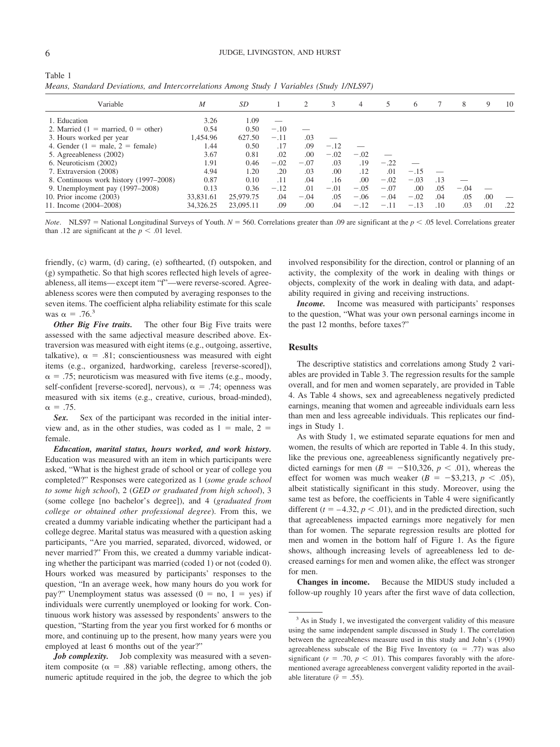Table 1

| Variable                               | $\boldsymbol{M}$ | SD        |        | 2      | 3      | 4      | 5      | 6      |     | 8      | 9   | 10  |
|----------------------------------------|------------------|-----------|--------|--------|--------|--------|--------|--------|-----|--------|-----|-----|
| 1. Education                           | 3.26             | 1.09      |        |        |        |        |        |        |     |        |     |     |
| 2. Married (1 = married, $0 =$ other)  | 0.54             | 0.50      | $-.10$ |        |        |        |        |        |     |        |     |     |
| 3. Hours worked per year               | 1,454.96         | 627.50    | $-.11$ | .03    |        |        |        |        |     |        |     |     |
| 4. Gender (1 = male, 2 = female)       | 1.44             | 0.50      | .17    | .09    | $-.12$ |        |        |        |     |        |     |     |
| 5. Agreeableness (2002)                | 3.67             | 0.81      | .02    | .00    | $-.02$ | $-.02$ |        |        |     |        |     |     |
| 6. Neuroticism (2002)                  | 1.91             | 0.46      | $-.02$ | $-.07$ | .03    | .19    | $-.22$ |        |     |        |     |     |
| 7. Extraversion (2008)                 | 4.94             | 1.20      | .20    | .03    | .00    | .12    | .01    | $-.15$ |     |        |     |     |
| 8. Continuous work history (1997–2008) | 0.87             | 0.10      | .11    | .04    | .16    | .00.   | $-.02$ | $-.03$ | .13 |        |     |     |
| 9. Unemployment pay $(1997-2008)$      | 0.13             | 0.36      | $-.12$ | .01    | $-.01$ | $-.05$ | $-.07$ | .00.   | .05 | $-.04$ |     |     |
| 10. Prior income $(2003)$              | 33,831.61        | 25,979.75 | .04    | $-.04$ | .05    | $-.06$ | $-.04$ | $-.02$ | .04 | .05    | .00 |     |
| 11. Income (2004–2008)                 | 34,326.25        | 23,095.11 | .09    | .00    | .04    | $-.12$ | $-.11$ | $-.13$ | .10 | .03    | .01 | .22 |
|                                        |                  |           |        |        |        |        |        |        |     |        |     |     |

*Means, Standard Deviations, and Intercorrelations Among Study 1 Variables (Study 1/NLS97)*

*Note*. NLS97 = National Longitudinal Surveys of Youth.  $N = 560$ . Correlations greater than .09 are significant at the  $p < .05$  level. Correlations greater than .12 are significant at the  $p < .01$  level.

friendly, (c) warm, (d) caring, (e) softhearted, (f) outspoken, and (g) sympathetic. So that high scores reflected high levels of agreeableness, all items— except item "f"—were reverse-scored. Agreeableness scores were then computed by averaging responses to the seven items. The coefficient alpha reliability estimate for this scale was  $\alpha = .76$ <sup>3</sup>

*Other Big Five traits.* The other four Big Five traits were assessed with the same adjectival measure described above. Extraversion was measured with eight items (e.g., outgoing, assertive, talkative),  $\alpha = .81$ ; conscientiousness was measured with eight items (e.g., organized, hardworking, careless [reverse-scored]),  $\alpha$  = .75; neuroticism was measured with five items (e.g., moody, self-confident [reverse-scored], nervous),  $\alpha = .74$ ; openness was measured with six items (e.g., creative, curious, broad-minded),  $\alpha = .75$ .

*Sex.* Sex of the participant was recorded in the initial interview and, as in the other studies, was coded as  $1 =$  male,  $2 =$ female.

*Education, marital status, hours worked, and work history.* Education was measured with an item in which participants were asked, "What is the highest grade of school or year of college you completed?" Responses were categorized as 1 (*some grade school to some high school*), 2 (*GED or graduated from high school*), 3 (some college [no bachelor's degree]), and 4 (*graduated from college or obtained other professional degree*). From this, we created a dummy variable indicating whether the participant had a college degree. Marital status was measured with a question asking participants, "Are you married, separated, divorced, widowed, or never married?" From this, we created a dummy variable indicating whether the participant was married (coded 1) or not (coded 0). Hours worked was measured by participants' responses to the question, "In an average week, how many hours do you work for pay?" Unemployment status was assessed  $(0 = no, 1 = yes)$  if individuals were currently unemployed or looking for work. Continuous work history was assessed by respondents' answers to the question, "Starting from the year you first worked for 6 months or more, and continuing up to the present, how many years were you employed at least 6 months out of the year?"

*Job complexity.* Job complexity was measured with a sevenitem composite ( $\alpha = .88$ ) variable reflecting, among others, the numeric aptitude required in the job, the degree to which the job involved responsibility for the direction, control or planning of an activity, the complexity of the work in dealing with things or objects, complexity of the work in dealing with data, and adaptability required in giving and receiving instructions.

*Income.* Income was measured with participants' responses to the question, "What was your own personal earnings income in the past 12 months, before taxes?"

# **Results**

The descriptive statistics and correlations among Study 2 variables are provided in Table 3. The regression results for the sample overall, and for men and women separately, are provided in Table 4. As Table 4 shows, sex and agreeableness negatively predicted earnings, meaning that women and agreeable individuals earn less than men and less agreeable individuals. This replicates our findings in Study 1.

As with Study 1, we estimated separate equations for men and women, the results of which are reported in Table 4. In this study, like the previous one, agreeableness significantly negatively predicted earnings for men  $(B = -\$10,326, p < .01)$ , whereas the effect for women was much weaker  $(B = -\$3,213, p < .05)$ , albeit statistically significant in this study. Moreover, using the same test as before, the coefficients in Table 4 were significantly different ( $t = -4.32$ ,  $p < .01$ ), and in the predicted direction, such that agreeableness impacted earnings more negatively for men than for women. The separate regression results are plotted for men and women in the bottom half of Figure 1. As the figure shows, although increasing levels of agreeableness led to decreased earnings for men and women alike, the effect was stronger for men.

**Changes in income.** Because the MIDUS study included a follow-up roughly 10 years after the first wave of data collection,

<sup>&</sup>lt;sup>3</sup> As in Study 1, we investigated the convergent validity of this measure using the same independent sample discussed in Study 1. The correlation between the agreeableness measure used in this study and John's (1990) agreeableness subscale of the Big Five Inventory ( $\alpha$  = .77) was also significant ( $r = .70$ ,  $p < .01$ ). This compares favorably with the aforementioned average agreeableness convergent validity reported in the available literature  $(\bar{r} = .55)$ .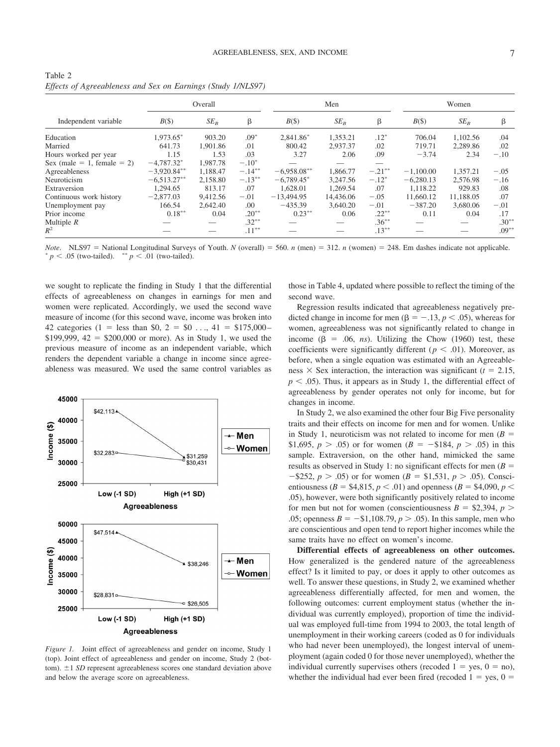| Table 2                                                      |  |  |
|--------------------------------------------------------------|--|--|
| Effects of Agreeableness and Sex on Earnings (Study 1/NLS97) |  |  |

|                            |                | Overall  |           |                          | Men       |           | Women       |           |          |  |  |
|----------------------------|----------------|----------|-----------|--------------------------|-----------|-----------|-------------|-----------|----------|--|--|
| Independent variable       | $B(\$)$        | $SE_B$   | β         | $B(\$)$                  | $SE_R$    | β         | B()         | $SE_B$    | β        |  |  |
| Education                  | 1,973.65*      | 903.20   | $.09*$    | 2,841.86*                | 1.353.21  | $.12*$    | 706.04      | 1,102.56  | .04      |  |  |
| Married                    | 641.73         | 1.901.86 | .01       | 800.42                   | 2,937.37  | .02       | 719.71      | 2,289.86  | .02      |  |  |
| Hours worked per year      | 1.15           | 1.53     | .03       | 3.27                     | 2.06      | .09       | $-3.74$     | 2.34      | $-.10$   |  |  |
| Sex (male = 1, female = 2) | $-4,787.32*$   | 1.987.78 | $-.10^*$  |                          |           |           |             |           |          |  |  |
| Agreeableness              | $-3.920.84***$ | 1.188.47 | $-.14***$ | $-6.958.08***$           | 1.866.77  | $-.21***$ | $-1,100,00$ | 1,357.21  | $-.05$   |  |  |
| Neuroticism                | $-6,513.27**$  | 2.158.80 | $-.13***$ | $-6.789.45$ <sup>*</sup> | 3.247.56  | $-.12*$   | $-6,280.13$ | 2,576.98  | $-.16$   |  |  |
| Extraversion               | 1.294.65       | 813.17   | .07       | 1.628.01                 | 1.269.54  | .07       | 1.118.22    | 929.83    | .08      |  |  |
| Continuous work history    | $-2,877.03$    | 9,412.56 | $-.01$    | $-13,494.95$             | 14,436.06 | $-.05$    | 11,660.12   | 11,188.05 | .07      |  |  |
| Unemployment pay           | 166.54         | 2.642.40 | .00       | $-435.39$                | 3.640.20  | $-.01$    | $-387.20$   | 3.680.06  | $-.01$   |  |  |
| Prior income               | $0.18***$      | 0.04     | $.20***$  | $0.23***$                | 0.06      | $.22***$  | 0.11        | 0.04      | .17      |  |  |
| Multiple $R$               |                |          | $.32***$  |                          |           | $.36***$  |             |           | $.30***$ |  |  |
| $R^2$                      |                |          | $.11***$  |                          |           | $.13***$  |             |           | $.09***$ |  |  |

*Note*. NLS97 = National Longitudinal Surveys of Youth. *N* (overall) = 560. *n* (men) = 312. *n* (women) = 248. Em dashes indicate not applicable. *p* < .05 (two-tailed). *\*\* p* < .01 (two-tailed).

we sought to replicate the finding in Study 1 that the differential effects of agreeableness on changes in earnings for men and women were replicated. Accordingly, we used the second wave measure of income (for this second wave, income was broken into 42 categories (1 = less than \$0, 2 = \$0 ..., 41 = \$175,000 –  $$199,999, 42 = $200,000$  or more). As in Study 1, we used the previous measure of income as an independent variable, which renders the dependent variable a change in income since agreeableness was measured. We used the same control variables as



*Figure 1.* Joint effect of agreeableness and gender on income, Study 1 (top). Joint effect of agreeableness and gender on income, Study 2 (bottom).  $\pm 1$  *SD* represent agreeableness scores one standard deviation above and below the average score on agreeableness.

those in Table 4, updated where possible to reflect the timing of the second wave.

Regression results indicated that agreeableness negatively predicted change in income for men ( $\beta = -.13$ ,  $p < .05$ ), whereas for women, agreeableness was not significantly related to change in income ( $\beta$  = .06, *ns*). Utilizing the Chow (1960) test, these coefficients were significantly different ( $p < .01$ ). Moreover, as before, when a single equation was estimated with an Agreeableness  $\times$  Sex interaction, the interaction was significant ( $t = 2.15$ ,  $p < .05$ ). Thus, it appears as in Study 1, the differential effect of agreeableness by gender operates not only for income, but for changes in income.

In Study 2, we also examined the other four Big Five personality traits and their effects on income for men and for women. Unlike in Study 1, neuroticism was not related to income for men  $(B =$ \$1,695,  $p > .05$ ) or for women ( $B = -\$184$ ,  $p > .05$ ) in this sample. Extraversion, on the other hand, mimicked the same results as observed in Study 1: no significant effects for men  $(B =$  $-$ \$252, *p* > .05) or for women (*B* = \$1,531, *p* > .05). Conscientiousness ( $B = $4,815, p < .01$ ) and openness ( $B = $4,090, p < .01$ ) .05), however, were both significantly positively related to income for men but not for women (conscientiousness  $B = $2,394, p >$ .05; openness  $B = -\$1,108.79, p > .05$ ). In this sample, men who are conscientious and open tend to report higher incomes while the same traits have no effect on women's income.

**Differential effects of agreeableness on other outcomes.** How generalized is the gendered nature of the agreeableness effect? Is it limited to pay, or does it apply to other outcomes as well. To answer these questions, in Study 2, we examined whether agreeableness differentially affected, for men and women, the following outcomes: current employment status (whether the individual was currently employed), proportion of time the individual was employed full-time from 1994 to 2003, the total length of unemployment in their working careers (coded as 0 for individuals who had never been unemployed), the longest interval of unemployment (again coded 0 for those never unemployed), whether the individual currently supervises others (recoded  $1 = yes$ ,  $0 = no$ ), whether the individual had ever been fired (recoded  $1 = yes$ ,  $0 =$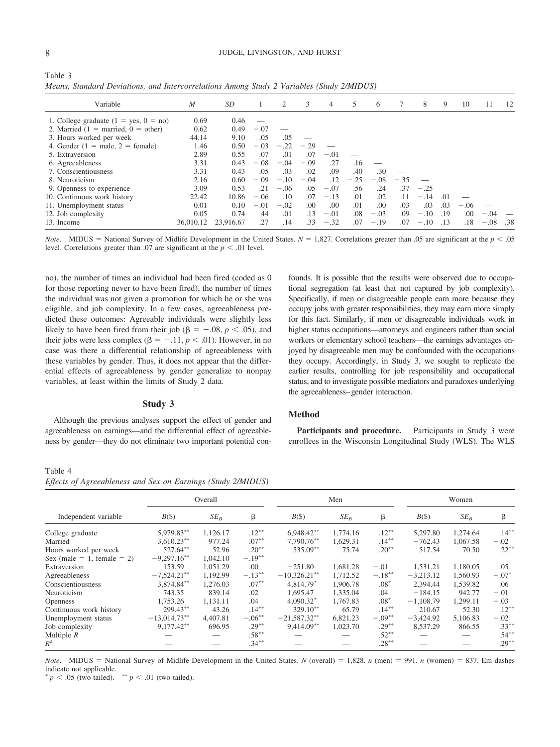Table 3

| Variable                                              | $\boldsymbol{M}$ | SD        |        | 2      | 3      | 4      | 5      | 6      |        | 8      | 9   | 10     | 11     | 12  |
|-------------------------------------------------------|------------------|-----------|--------|--------|--------|--------|--------|--------|--------|--------|-----|--------|--------|-----|
| 1. College graduate $(1 = \text{ves}, 0 = \text{no})$ | 0.69             | 0.46      |        |        |        |        |        |        |        |        |     |        |        |     |
| 2. Married (1 = married, $0 =$ other)                 | 0.62             | 0.49      | $-.07$ |        |        |        |        |        |        |        |     |        |        |     |
| 3. Hours worked per week                              | 44.14            | 9.10      | .05    | .05    |        |        |        |        |        |        |     |        |        |     |
| 4. Gender (1 = male, 2 = female)                      | 1.46             | 0.50      | $-.03$ | $-.22$ | $-.29$ |        |        |        |        |        |     |        |        |     |
| 5. Extraversion                                       | 2.89             | 0.55      | 07     | .01    | .07    | $-.01$ |        |        |        |        |     |        |        |     |
| 6. Agreeableness                                      | 3.31             | 0.43      | $-.08$ | $-.04$ | $-.09$ | .27    | .16    |        |        |        |     |        |        |     |
| 7. Conscientiousness                                  | 3.31             | 0.43      | .05    | .03    | .02    | .09    | .40    | .30    |        |        |     |        |        |     |
| 8. Neuroticism                                        | 2.16             | 0.60      | $-.09$ | $-.10$ | $-.04$ | .12    | $-.25$ | $-.08$ | $-.35$ |        |     |        |        |     |
| 9. Openness to experience                             | 3.09             | 0.53      | .21    | $-.06$ | .05    | $-.07$ | .56    | .24    | .37    | $-.25$ |     |        |        |     |
| 10. Continuous work history                           | 22.42            | 10.86     | $-.06$ | .10    | .07    | $-.13$ | .01    | .02    | .11    | $-.14$ | .01 |        |        |     |
| 11. Unemployment status                               | 0.01             | 0.10      | $-.01$ | $-.02$ | .00.   | .00.   | .01    | .00.   | .03    | .03    | .03 | $-.06$ |        |     |
| 12. Job complexity                                    | 0.05             | 0.74      | .44    | .01    | .13    | $-.01$ | .08    | $-.03$ | .09    | $-.10$ | .19 | .00    | $-.04$ |     |
| 13. Income                                            | 36,010.12        | 23,916.67 | .27    | .14    | .33    | $-.32$ | .07    | $-.19$ | .07    | $-.10$ | .13 | .18    | $-.08$ | .38 |
|                                                       |                  |           |        |        |        |        |        |        |        |        |     |        |        |     |

*Means, Standard Deviations, and Intercorrelations Among Study 2 Variables (Study 2/MIDUS)*

*Note*. MIDUS = National Survey of Midlife Development in the United States.  $N = 1,827$ . Correlations greater than .05 are significant at the  $p < .05$ level. Correlations greater than .07 are significant at the  $p < .01$  level.

no), the number of times an individual had been fired (coded as 0 for those reporting never to have been fired), the number of times the individual was not given a promotion for which he or she was eligible, and job complexity. In a few cases, agreeableness predicted these outcomes: Agreeable individuals were slightly less likely to have been fired from their job ( $\beta = -.08, p < .05$ ), and their jobs were less complex ( $\beta = -.11, p < .01$ ). However, in no case was there a differential relationship of agreeableness with these variables by gender. Thus, it does not appear that the differential effects of agreeableness by gender generalize to nonpay variables, at least within the limits of Study 2 data.

# **Study 3**

Although the previous analyses support the effect of gender and agreeableness on earnings—and the differential effect of agreeableness by gender—they do not eliminate two important potential con-

founds. It is possible that the results were observed due to occupational segregation (at least that not captured by job complexity). Specifically, if men or disagreeable people earn more because they occupy jobs with greater responsibilities, they may earn more simply for this fact. Similarly, if men or disagreeable individuals work in higher status occupations—attorneys and engineers rather than social workers or elementary school teachers—the earnings advantages enjoyed by disagreeable men may be confounded with the occupations they occupy. Accordingly, in Study 3, we sought to replicate the earlier results, controlling for job responsibility and occupational status, and to investigate possible mediators and paradoxes underlying the agreeableness– gender interaction.

## **Method**

Participants and procedure. Participants in Study 3 were enrollees in the Wisconsin Longitudinal Study (WLS). The WLS

# Table 4 *Effects of Agreeableness and Sex on Earnings (Study 2/MIDUS)*

|                            |                 | Overall  |            |                         | Men      | Women     |             |          |          |
|----------------------------|-----------------|----------|------------|-------------------------|----------|-----------|-------------|----------|----------|
| Independent variable       | $B(\$)$         | $SE_R$   | β          | $B(\$)$                 | $SE_R$   | β         | $B(\$)$     | $SE_R$   | β        |
| College graduate           | 5,979.83**      | 1,126.17 | $.12***$   | $6.948.42***$           | 1,774.16 | $.12***$  | 5,297.80    | 1,274.64 | $.14***$ |
| Married                    | $3.610.23***$   | 977.24   | $.07***$   | $7,790.76**$            | 1,629.31 | $.14***$  | $-762.43$   | 1,067.58 | $-.02$   |
| Hours worked per week      | 527.64**        | 52.96    | $.20^{**}$ | 535.09**                | 75.74    | $.20***$  | 517.54      | 70.50    | $.22***$ |
| Sex (male = 1, female = 2) | $-9.297.16***$  | 1,042.10 | $-.19***$  |                         |          |           |             |          |          |
| Extraversion               | 153.59          | 1.051.29 | .00        | $-251.80$               | 1,681.28 | $-.01$    | 1.531.21    | 1.180.05 | .05      |
| Agreeableness              | $-7,524.21***$  | 1.192.99 | $-.13***$  | $-10,326.21***$         | 1,712.52 | $-.18***$ | $-3,213.12$ | 1,560.93 | $-.07*$  |
| Conscientiousness          | 3.874.84**      | 1.276.03 | $.07***$   | 4.814.79*               | 1.906.78 | $.08*$    | 2,394.44    | 1,539.82 | .06      |
| Neuroticism                | 743.35          | 839.14   | .02        | 1.695.47                | 1,335.04 | .04       | $-184.15$   | 942.77   | $-.01$   |
| Openness                   | 1.753.26        | 1.131.11 | .04        | $4.090.32$ <sup>*</sup> | 1.767.83 | $.08*$    | $-1.108.79$ | 1,299.11 | $-.03$   |
| Continuous work history    | 299.43**        | 43.26    | $.14***$   | $329.10**$              | 65.79    | $.14***$  | 210.67      | 52.30    | $.12***$ |
| Unemployment status        | $-13.014.73***$ | 4.407.81 | $-.06***$  | $-21,587.32**$          | 6.821.23 | $-.09***$ | $-3,424.92$ | 5,106.83 | $-.02$   |
| Job complexity             | $9,177.42**$    | 696.95   | $.29***$   | $9,414.09**$            | 1,023.70 | $.29***$  | 8,537.29    | 866.55   | $.33***$ |
| Multiple $R$               |                 |          | $.58***$   |                         |          | $.52***$  |             |          | $.54*$   |
| $R^2$                      |                 |          | $.34***$   |                         |          | $.28***$  |             |          | $.29***$ |

*Note*. MIDUS = National Survey of Midlife Development in the United States. *N* (overall) = 1,828. *n* (men) = 991. *n* (women) = 837. Em dashes indicate not applicable.

 $p < .05$  (two-tailed).  $p < .01$  (two-tailed).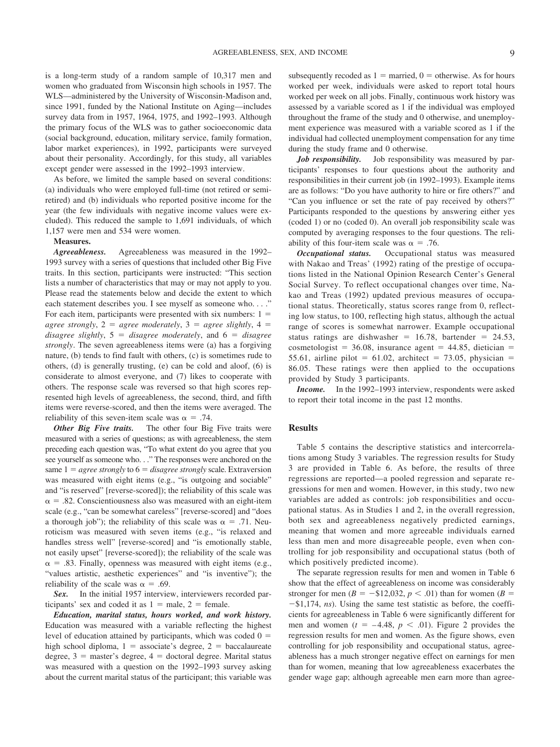is a long-term study of a random sample of 10,317 men and women who graduated from Wisconsin high schools in 1957. The WLS—administered by the University of Wisconsin-Madison and, since 1991, funded by the National Institute on Aging—includes survey data from in 1957, 1964, 1975, and 1992–1993. Although the primary focus of the WLS was to gather socioeconomic data (social background, education, military service, family formation, labor market experiences), in 1992, participants were surveyed about their personality. Accordingly, for this study, all variables except gender were assessed in the 1992–1993 interview.

As before, we limited the sample based on several conditions: (a) individuals who were employed full-time (not retired or semiretired) and (b) individuals who reported positive income for the year (the few individuals with negative income values were excluded). This reduced the sample to 1,691 individuals, of which 1,157 were men and 534 were women.

# **Measures.**

*Agreeableness.* Agreeableness was measured in the 1992– 1993 survey with a series of questions that included other Big Five traits. In this section, participants were instructed: "This section lists a number of characteristics that may or may not apply to you. Please read the statements below and decide the extent to which each statement describes you. I see myself as someone who...." For each item, participants were presented with six numbers:  $1 =$ *agree strongly*,  $2 = agree$  *moderately*,  $3 = agree$  *slightly*,  $4 =$ *disagree slightly*,  $5 = \text{disagree}$  *moderately*, and  $6 = \text{disagree}$ *strongly*. The seven agreeableness items were (a) has a forgiving nature, (b) tends to find fault with others, (c) is sometimes rude to others, (d) is generally trusting, (e) can be cold and aloof, (6) is considerate to almost everyone, and (7) likes to cooperate with others. The response scale was reversed so that high scores represented high levels of agreeableness, the second, third, and fifth items were reverse-scored, and then the items were averaged. The reliability of this seven-item scale was  $\alpha = .74$ .

*Other Big Five traits.* The other four Big Five traits were measured with a series of questions; as with agreeableness, the stem preceding each question was, "To what extent do you agree that you see yourself as someone who. . ." The responses were anchored on the same  $1 = agree \, strongly \, to \, 6 = disagree \, strongly \, scale. \, Extraversion$ was measured with eight items (e.g., "is outgoing and sociable" and "is reserved" [reverse-scored]); the reliability of this scale was  $\alpha = .82$ . Conscientiousness also was measured with an eight-item scale (e.g., "can be somewhat careless" [reverse-scored] and "does a thorough job"); the reliability of this scale was  $\alpha = .71$ . Neuroticism was measured with seven items (e.g., "is relaxed and handles stress well" [reverse-scored] and "is emotionally stable, not easily upset" [reverse-scored]); the reliability of the scale was  $\alpha$  = .83. Finally, openness was measured with eight items (e.g., "values artistic, aesthetic experiences" and "is inventive"); the reliability of the scale was  $\alpha = .69$ .

*Sex.* In the initial 1957 interview, interviewers recorded participants' sex and coded it as  $1 =$  male,  $2 =$  female.

*Education, marital status, hours worked, and work history.* Education was measured with a variable reflecting the highest level of education attained by participants, which was coded  $0 =$ high school diploma,  $1 =$  associate's degree,  $2 =$  baccalaureate degree,  $3 =$  master's degree,  $4 =$  doctoral degree. Marital status was measured with a question on the 1992–1993 survey asking about the current marital status of the participant; this variable was subsequently recoded as  $1 =$  married,  $0 =$  otherwise. As for hours worked per week, individuals were asked to report total hours worked per week on all jobs. Finally, continuous work history was assessed by a variable scored as 1 if the individual was employed throughout the frame of the study and 0 otherwise, and unemployment experience was measured with a variable scored as 1 if the individual had collected unemployment compensation for any time during the study frame and 0 otherwise.

*Job responsibility.* Job responsibility was measured by participants' responses to four questions about the authority and responsibilities in their current job (in 1992–1993). Example items are as follows: "Do you have authority to hire or fire others?" and "Can you influence or set the rate of pay received by others?" Participants responded to the questions by answering either yes (coded 1) or no (coded 0). An overall job responsibility scale was computed by averaging responses to the four questions. The reliability of this four-item scale was  $\alpha = .76$ .

*Occupational status.* Occupational status was measured with Nakao and Treas' (1992) rating of the prestige of occupations listed in the National Opinion Research Center's General Social Survey. To reflect occupational changes over time, Nakao and Treas (1992) updated previous measures of occupational status. Theoretically, status scores range from 0, reflecting low status, to 100, reflecting high status, although the actual range of scores is somewhat narrower. Example occupational status ratings are dishwasher  $= 16.78$ , bartender  $= 24.53$ , cosmetologist = 36.08, insurance agent = 44.85, dietician = 55.61, airline pilot = 61.02, architect = 73.05, physician = 86.05. These ratings were then applied to the occupations provided by Study 3 participants.

*Income.* In the 1992–1993 interview, respondents were asked to report their total income in the past 12 months.

#### **Results**

Table 5 contains the descriptive statistics and intercorrelations among Study 3 variables. The regression results for Study 3 are provided in Table 6. As before, the results of three regressions are reported—a pooled regression and separate regressions for men and women. However, in this study, two new variables are added as controls: job responsibilities and occupational status. As in Studies 1 and 2, in the overall regression, both sex and agreeableness negatively predicted earnings, meaning that women and more agreeable individuals earned less than men and more disagreeable people, even when controlling for job responsibility and occupational status (both of which positively predicted income).

The separate regression results for men and women in Table 6 show that the effect of agreeableness on income was considerably stronger for men ( $B = -\$12,032, p < .01$ ) than for women ( $B =$ -\$1,174, *ns*). Using the same test statistic as before, the coefficients for agreeableness in Table 6 were significantly different for men and women  $(t = -4.48, p < .01)$ . Figure 2 provides the regression results for men and women. As the figure shows, even controlling for job responsibility and occupational status, agreeableness has a much stronger negative effect on earnings for men than for women, meaning that low agreeableness exacerbates the gender wage gap; although agreeable men earn more than agree-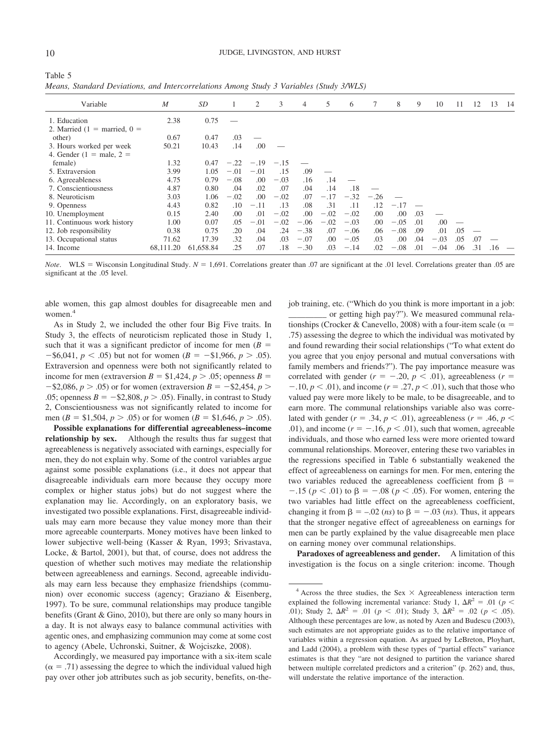| Variable                       | M         | SD        |        | 2      | 3      | 4      | 5      | 6      | 7       | 8      | 9   | 10     | 11  | 12  | 13  | 14 |
|--------------------------------|-----------|-----------|--------|--------|--------|--------|--------|--------|---------|--------|-----|--------|-----|-----|-----|----|
| 1. Education                   | 2.38      | 0.75      |        |        |        |        |        |        |         |        |     |        |     |     |     |    |
| 2. Married (1 = married, $0 =$ |           |           |        |        |        |        |        |        |         |        |     |        |     |     |     |    |
| other)                         | 0.67      | 0.47      | .03    |        |        |        |        |        |         |        |     |        |     |     |     |    |
| 3. Hours worked per week       | 50.21     | 10.43     | .14    | .00    |        |        |        |        |         |        |     |        |     |     |     |    |
| 4. Gender (1 = male, 2 =       |           |           |        |        |        |        |        |        |         |        |     |        |     |     |     |    |
| female)                        | 1.32      | 0.47      | $-.22$ | $-.19$ | $-.15$ |        |        |        |         |        |     |        |     |     |     |    |
| 5. Extraversion                | 3.99      | 1.05      | $-.01$ | $-.01$ | .15    | .09    |        |        |         |        |     |        |     |     |     |    |
| 6. Agreeableness               | 4.75      | 0.79      | $-.08$ | .00    | $-.03$ | .16    | .14    |        |         |        |     |        |     |     |     |    |
| 7. Conscientiousness           | 4.87      | 0.80      | .04    | .02    | .07    | .04    | .14    | .18    |         |        |     |        |     |     |     |    |
| 8. Neuroticism                 | 3.03      | 1.06      | $-.02$ | .00    | $-.02$ | .07    | $-.17$ | $-.32$ | $-.26$  |        |     |        |     |     |     |    |
| 9. Openness                    | 4.43      | 0.82      | .10    | $-.11$ | .13    | .08    | .31    | .11    | $.12\,$ | $-.17$ |     |        |     |     |     |    |
| 10. Unemployment               | 0.15      | 2.40      | .00    | .01    | $-.02$ | .00    | $-.02$ | $-.02$ | .00     | .00    | .03 |        |     |     |     |    |
| 11. Continuous work history    | 1.00      | 0.07      | .05    | $-.01$ | $-.02$ | $-.06$ | $-.02$ | $-.03$ | .00     | $-.05$ | .01 | .00    |     |     |     |    |
| 12. Job responsibility         | 0.38      | 0.75      | .20    | .04    | .24    | $-.38$ | .07    | $-.06$ | .06     | $-.08$ | .09 | .01    | .05 |     |     |    |
| 13. Occupational status        | 71.62     | 17.39     | .32    | .04    | .03    | $-.07$ | .00.   | $-.05$ | .03     | .00    | .04 | $-.03$ | .05 | .07 |     |    |
| 14. Income                     | 68,111.20 | 61,658.84 | .25    | .07    | .18    | $-.30$ | .03    | $-.14$ | .02     | $-.08$ | .01 | $-.04$ | .06 | .31 | .16 |    |

Table 5 *Means, Standard Deviations, and Intercorrelations Among Study 3 Variables (Study 3/WLS)*

*Note*. WLS = Wisconsin Longitudinal Study.  $N = 1,691$ . Correlations greater than .07 are significant at the .01 level. Correlations greater than .05 are significant at the .05 level.

able women, this gap almost doubles for disagreeable men and women.4

As in Study 2, we included the other four Big Five traits. In Study 3, the effects of neuroticism replicated those in Study 1, such that it was a significant predictor of income for men  $(B =$  $-$ \$6,041,  $p < .05$ ) but not for women ( $B = -$ \$1,966,  $p > .05$ ). Extraversion and openness were both not significantly related to income for men (extraversion  $B = $1,424, p > .05$ ; openness  $B =$  $-$ \$2,086, *p* > .05) or for women (extraversion *B* =  $-$ \$2,454, *p* > .05; openness  $B = -\frac{2,808}{p} > .05$ . Finally, in contrast to Study 2, Conscientiousness was not significantly related to income for men (*B* = \$1,504, *p* > .05) or for women (*B* = \$1,646, *p* > .05).

**Possible explanations for differential agreeableness–income relationship by sex.** Although the results thus far suggest that agreeableness is negatively associated with earnings, especially for men, they do not explain why. Some of the control variables argue against some possible explanations (i.e., it does not appear that disagreeable individuals earn more because they occupy more complex or higher status jobs) but do not suggest where the explanation may lie. Accordingly, on an exploratory basis, we investigated two possible explanations. First, disagreeable individuals may earn more because they value money more than their more agreeable counterparts. Money motives have been linked to lower subjective well-being (Kasser & Ryan, 1993; Srivastava, Locke, & Bartol, 2001), but that, of course, does not address the question of whether such motives may mediate the relationship between agreeableness and earnings. Second, agreeable individuals may earn less because they emphasize friendships (communion) over economic success (agency; Graziano & Eisenberg, 1997). To be sure, communal relationships may produce tangible benefits (Grant & Gino, 2010), but there are only so many hours in a day. It is not always easy to balance communal activities with agentic ones, and emphasizing communion may come at some cost to agency (Abele, Uchronski, Suitner, & Wojciszke, 2008).

Accordingly, we measured pay importance with a six-item scale  $(\alpha = .71)$  assessing the degree to which the individual valued high pay over other job attributes such as job security, benefits, on-thejob training, etc. ("Which do you think is more important in a job:

or getting high pay?"). We measured communal relationships (Crocker & Canevello, 2008) with a four-item scale ( $\alpha =$ .75) assessing the degree to which the individual was motivated by and found rewarding their social relationships ("To what extent do you agree that you enjoy personal and mutual conversations with family members and friends?"). The pay importance measure was correlated with gender ( $r = -.20$ ,  $p < .01$ ), agreeableness ( $r =$  $-10, p \lt 0.01$ , and income ( $r = 0.27, p \lt 0.01$ ), such that those who valued pay were more likely to be male, to be disagreeable, and to earn more. The communal relationships variable also was correlated with gender ( $r = .34$ ,  $p < .01$ ), agreeableness ( $r = .46$ ,  $p <$ .01), and income  $(r = -.16, p < .01)$ , such that women, agreeable individuals, and those who earned less were more oriented toward communal relationships. Moreover, entering these two variables in the regressions specified in Table 6 substantially weakened the effect of agreeableness on earnings for men. For men, entering the two variables reduced the agreeableness coefficient from  $\beta$  =  $-.15$  ( $p < .01$ ) to  $\beta = -.08$  ( $p < .05$ ). For women, entering the two variables had little effect on the agreeableness coefficient, changing it from  $\beta = -.02$  (*ns*) to  $\beta = -.03$  (*ns*). Thus, it appears that the stronger negative effect of agreeableness on earnings for men can be partly explained by the value disagreeable men place on earning money over communal relationships.

Paradoxes of agreeableness and gender. A limitation of this investigation is the focus on a single criterion: income. Though

 $4$  Across the three studies, the Sex  $\times$  Agreeableness interaction term explained the following incremental variance: Study 1,  $\Delta R^2 = .01$  ( $p <$ .01); Study 2,  $\Delta R^2 = .01$  ( $p < .01$ ); Study 3,  $\Delta R^2 = .02$  ( $p < .05$ ). Although these percentages are low, as noted by Azen and Budescu (2003), such estimates are not appropriate guides as to the relative importance of variables within a regression equation. As argued by LeBreton, Ployhart, and Ladd (2004), a problem with these types of "partial effects" variance estimates is that they "are not designed to partition the variance shared between multiple correlated predictors and a criterion" (p. 262) and, thus, will understate the relative importance of the interaction.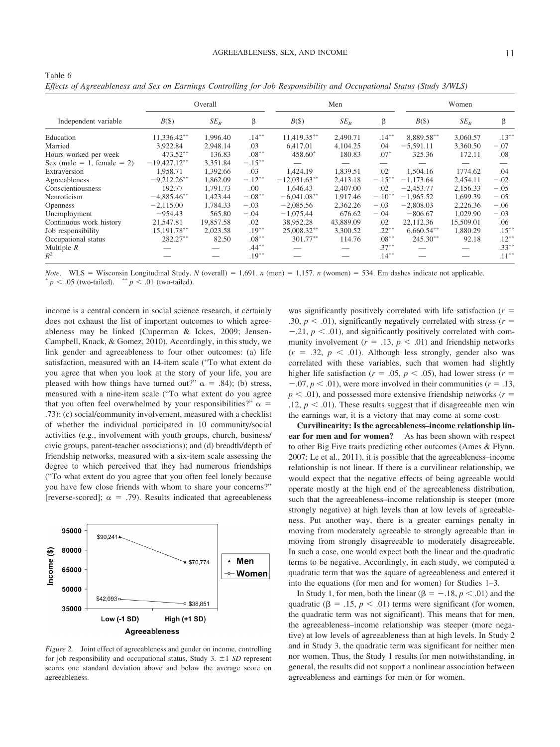|                            |                 |           | U V       |                 |           |           |               |           |          |  |  |
|----------------------------|-----------------|-----------|-----------|-----------------|-----------|-----------|---------------|-----------|----------|--|--|
|                            |                 | Overall   |           |                 | Men       |           | Women         |           |          |  |  |
| Independent variable       | $B(\$)$         | $SE_R$    | β         | $B(\$)$         | $SE_R$    | β         | $B(\$)$       | $SE_R$    | β        |  |  |
| Education                  | $11,336.42**$   | 1.996.40  | $.14***$  | $11,419.35***$  | 2.490.71  | $.14***$  | 8,889.58**    | 3,060.57  | $.13***$ |  |  |
| Married                    | 3,922.84        | 2,948.14  | .03       | 6,417.01        | 4.104.25  | .04       | $-5,591.11$   | 3,360.50  | $-.07$   |  |  |
| Hours worked per week      | 473.52**        | 136.83    | $.08***$  | 458.60*         | 180.83    | $.07*$    | 325.36        | 172.11    | .08      |  |  |
| Sex (male = 1, female = 2) | $-19,427.12***$ | 3,351.84  | $-.15***$ |                 |           |           |               |           |          |  |  |
| Extraversion               | 1,958.71        | 1,392.66  | .03       | 1,424.19        | 1,839.51  | .02       | 1,504.16      | 1774.62   | .04      |  |  |
| Agreeableness              | $-9,212.26***$  | 1.862.09  | $-.12***$ | $-12,031.63***$ | 2.413.18  | $-.15***$ | $-1,173.64$   | 2.454.11  | $-.02$   |  |  |
| Conscientiousness          | 192.77          | 1.791.73  | .00       | 1.646.43        | 2,407.00  | .02       | $-2,453.77$   | 2,156.33  | $-.05$   |  |  |
| Neuroticism                | $-4,885.46**$   | 1,423.44  | $-.08***$ | $-6,041.08***$  | 1,917.46  | $-.10***$ | $-1,965.52$   | 1,699.39  | $-.05$   |  |  |
| <b>Openness</b>            | $-2,115.00$     | 1.784.33  | $-.03$    | $-2,085.56$     | 2,362.26  | $-.03$    | $-2,808.03$   | 2,226.36  | $-.06$   |  |  |
| Unemployment               | $-954.43$       | 565.80    | $-.04$    | $-1,075.44$     | 676.62    | $-.04$    | $-806.67$     | 1,029.90  | $-.03$   |  |  |
| Continuous work history    | 21,547.81       | 19,857.58 | .02       | 38,952.28       | 43,889.09 | .02       | 22,112.36     | 15,509.01 | .06      |  |  |
| Job responsibility         | 15, 191.78**    | 2,023.58  | $.19***$  | 25,008.32**     | 3,300.52  | $.22***$  | $6,660.54***$ | 1.880.29  | $.15***$ |  |  |
| Occupational status        | 282.27**        | 82.50     | $.08***$  | $301.77***$     | 114.76    | $.08***$  | $245.30***$   | 92.18     | $.12***$ |  |  |
| Multiple $R$               |                 |           | $.44***$  |                 |           | $.37***$  |               |           | $.33***$ |  |  |
| $R^2$                      |                 |           | $.19***$  |                 |           | $.14***$  |               |           | $.11***$ |  |  |

Table 6 *Effects of Agreeableness and Sex on Earnings Controlling for Job Responsibility and Occupational Status (Study 3/WLS)*

*Note*. WLS = Wisconsin Longitudinal Study. *N* (overall) = 1,691. *n* (men) = 1,157. *n* (women) = 534. Em dashes indicate not applicable. *p* < .05 (two-tailed). *\*\* p* < .01 (two-tailed).

income is a central concern in social science research, it certainly does not exhaust the list of important outcomes to which agreeableness may be linked (Cuperman & Ickes, 2009; Jensen-Campbell, Knack, & Gomez, 2010). Accordingly, in this study, we link gender and agreeableness to four other outcomes: (a) life satisfaction, measured with an 14-item scale ("To what extent do you agree that when you look at the story of your life, you are pleased with how things have turned out?"  $\alpha = .84$ ); (b) stress, measured with a nine-item scale ("To what extent do you agree that you often feel overwhelmed by your responsibilities?"  $\alpha$  = .73); (c) social/community involvement, measured with a checklist of whether the individual participated in 10 community/social activities (e.g., involvement with youth groups, church, business/ civic groups, parent-teacher associations); and (d) breadth/depth of friendship networks, measured with a six-item scale assessing the degree to which perceived that they had numerous friendships ("To what extent do you agree that you often feel lonely because you have few close friends with whom to share your concerns?" [reverse-scored];  $\alpha = .79$ ). Results indicated that agreeableness



*Figure 2.* Joint effect of agreeableness and gender on income, controlling for job responsibility and occupational status, Study 3.  $\pm$ 1 *SD* represent scores one standard deviation above and below the average score on agreeableness.

was significantly positively correlated with life satisfaction (*r* .30,  $p < .01$ ), significantly negatively correlated with stress ( $r =$  $-0.21$ ,  $p < 0.01$ ), and significantly positively correlated with community involvement ( $r = .13$ ,  $p < .01$ ) and friendship networks  $(r = .32, p < .01)$ . Although less strongly, gender also was correlated with these variables, such that women had slightly higher life satisfaction ( $r = .05$ ,  $p < .05$ ), had lower stress ( $r =$  $-0.07, p \le 0.01$ , were more involved in their communities ( $r = 0.13$ ,  $p < .01$ ), and possessed more extensive friendship networks ( $r =$ .12,  $p < .01$ ). These results suggest that if disagreeable men win the earnings war, it is a victory that may come at some cost.

**Curvilinearity: Is the agreeableness–income relationship lin**ear for men and for women? As has been shown with respect to other Big Five traits predicting other outcomes (Ames & Flynn, 2007; Le et al., 2011), it is possible that the agreeableness–income relationship is not linear. If there is a curvilinear relationship, we would expect that the negative effects of being agreeable would operate mostly at the high end of the agreeableness distribution, such that the agreeableness–income relationship is steeper (more strongly negative) at high levels than at low levels of agreeableness. Put another way, there is a greater earnings penalty in moving from moderately agreeable to strongly agreeable than in moving from strongly disagreeable to moderately disagreeable. In such a case, one would expect both the linear and the quadratic terms to be negative. Accordingly, in each study, we computed a quadratic term that was the square of agreeableness and entered it into the equations (for men and for women) for Studies 1–3.

In Study 1, for men, both the linear ( $\beta = -.18, p < .01$ ) and the quadratic ( $\beta = .15$ ,  $p < .01$ ) terms were significant (for women, the quadratic term was not significant). This means that for men, the agreeableness–income relationship was steeper (more negative) at low levels of agreeableness than at high levels. In Study 2 and in Study 3, the quadratic term was significant for neither men nor women. Thus, the Study 1 results for men notwithstanding, in general, the results did not support a nonlinear association between agreeableness and earnings for men or for women.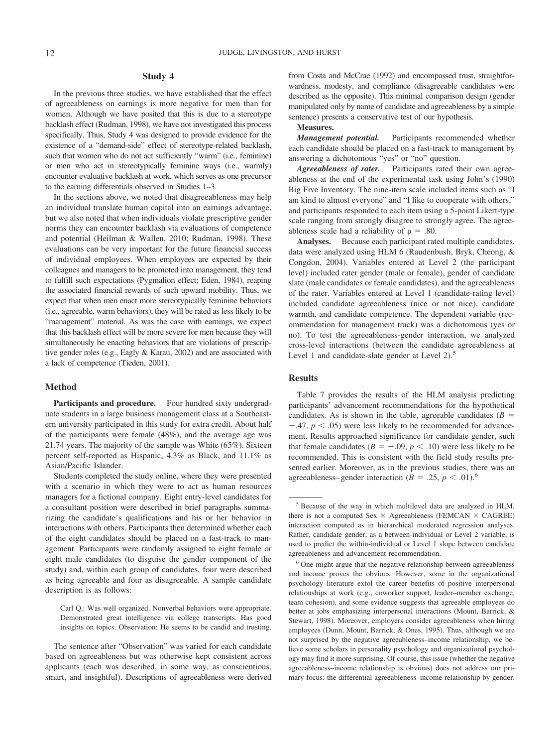# **Study 4**

In the previous three studies, we have established that the effect of agreeableness on earnings is more negative for men than for women. Although we have posited that this is due to a stereotype backlash effect (Rudman, 1998), we have not investigated this process specifically. Thus, Study 4 was designed to provide evidence for the existence of a "demand-side" effect of stereotype-related backlash, such that women who do not act sufficiently "warm" (i.e., feminine) or men who act in stereotypically feminine ways (i.e., warmly) encounter evaluative backlash at work, which serves as one precursor to the earning differentials observed in Studies 1–3.

In the sections above, we noted that disagreeableness may help an individual translate human capital into an earnings advantage, but we also noted that when individuals violate prescriptive gender norms they can encounter backlash via evaluations of competence and potential (Heilman & Wallen, 2010; Rudman, 1998). These evaluations can be very important for the future financial success of individual employees. When employees are expected by their colleagues and managers to be promoted into management, they tend to fulfill such expectations (Pygmalion effect; Eden, 1984), reaping the associated financial rewards of such upward mobility. Thus, we expect that when men enact more stereotypically feminine behaviors (i.e., agreeable, warm behaviors), they will be rated as less likely to be "management" material. As was the case with earnings, we expect that this backlash effect will be more severe for men because they will simultaneously be enacting behaviors that are violations of prescriptive gender roles (e.g., Eagly & Karau, 2002) and are associated with a lack of competence (Tieden, 2001).

# **Method**

Participants and procedure. Four hundred sixty undergraduate students in a large business management class at a Southeastern university participated in this study for extra credit. About half of the participants were female (48%), and the average age was 21.74 years. The majority of the sample was White (65%). Sixteen percent self-reported as Hispanic, 4.3% as Black, and 11.1% as Asian/Pacific Islander.

Students completed the study online, where they were presented with a scenario in which they were to act as human resources managers for a fictional company. Eight entry-level candidates for a consultant position were described in brief paragraphs summarizing the candidate's qualifications and his or her behavior in interactions with others. Participants then determined whether each of the eight candidates should be placed on a fast-track to management. Participants were randomly assigned to eight female or eight male candidates (to disguise the gender component of the study) and, within each group of candidates, four were described as being agreeable and four as disagreeable. A sample candidate description is as follows:

Carl Q.: Was well organized. Nonverbal behaviors were appropriate. Demonstrated great intelligence via college transcripts. Has good insights on topics. Observation: He seems to be candid and trusting.

The sentence after "Observation" was varied for each candidate based on agreeableness but was otherwise kept consistent across applicants (each was described, in some way, as conscientious, smart, and insightful). Descriptions of agreeableness were derived from Costa and McCrae (1992) and encompassed trust, straightforwardness, modesty, and compliance (disagreeable candidates were described as the opposite). This minimal comparison design (gender manipulated only by name of candidate and agreeableness by a simple sentence) presents a conservative test of our hypothesis.

#### **Measures.**

*Management potential.* Participants recommended whether each candidate should be placed on a fast-track to management by answering a dichotomous "yes" or "no" question.

*Agreeableness of rater.* Participants rated their own agreeableness at the end of the experimental task using John's (1990) Big Five Inventory. The nine-item scale included items such as "I am kind to almost everyone" and "I like to cooperate with others," and participants responded to each item using a 5-point Likert-type scale ranging from strongly disagree to strongly agree. The agreeableness scale had a reliability of  $\rho = .80$ .

**Analyses.** Because each participant rated multiple candidates, data were analyzed using HLM 6 (Raudenbush, Bryk, Cheong, & Congdon, 2004). Variables entered at Level 2 (the participant level) included rater gender (male or female), gender of candidate slate (male candidates or female candidates), and the agreeableness of the rater. Variables entered at Level 1 (candidate-rating level) included candidate agreeableness (nice or not nice), candidate warmth, and candidate competence. The dependent variable (recommendation for management track) was a dichotomous (yes or no). To test the agreeableness-gender interaction, we analyzed cross-level interactions (between the candidate agreeableness at Level 1 and candidate-slate gender at Level  $2$ ).<sup>5</sup>

# **Results**

Table 7 provides the results of the HLM analysis predicting participants' advancement recommendations for the hypothetical candidates. As is shown in the table, agreeable candidates  $(B =$  $-0.47$ ,  $p < 0.05$ ) were less likely to be recommended for advancement. Results approached significance for candidate gender, such that female candidates ( $B = -.09$ ,  $p < .10$ ) were less likely to be recommended. This is consistent with the field study results presented earlier. Moreover, as in the previous studies, there was an agreeableness–gender interaction ( $B = .25$ ,  $p < .01$ ).<sup>6</sup>

<sup>5</sup> Because of the way in which multilevel data are analyzed in HLM, there is not a computed Sex  $\times$  Agreeableness (FEMCAN  $\times$  CAGREE) interaction computed as in hierarchical moderated regression analyses. Rather, candidate gender, as a between-individual or Level 2 variable, is used to predict the within-individual or Level 1 slope between candidate agreeableness and advancement recommendation.

<sup>&</sup>lt;sup>6</sup> One might argue that the negative relationship between agreeableness and income proves the obvious. However, some in the organizational psychology literature extol the career benefits of positive interpersonal relationships at work (e.g., coworker support, leader–member exchange, team cohesion), and some evidence suggests that agreeable employees do better at jobs emphasizing interpersonal interactions (Mount, Barrick, & Stewart, 1998). Moreover, employers consider agreeableness when hiring employees (Dunn, Mount, Barrick, & Ones, 1995). Thus, although we are not surprised by the negative agreeableness–income relationship, we believe some scholars in personality psychology and organizational psychology may find it more surprising. Of course, this issue (whether the negative agreeableness–income relationship is obvious) does not address our primary focus: the differential agreeableness–income relationship by gender.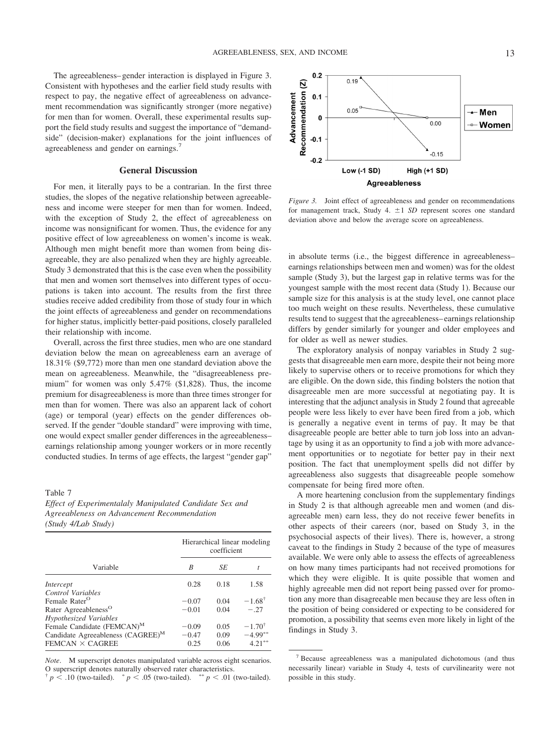The agreeableness– gender interaction is displayed in Figure 3. Consistent with hypotheses and the earlier field study results with respect to pay, the negative effect of agreeableness on advancement recommendation was significantly stronger (more negative) for men than for women. Overall, these experimental results support the field study results and suggest the importance of "demandside" (decision-maker) explanations for the joint influences of agreeableness and gender on earnings.7

# **General Discussion**

For men, it literally pays to be a contrarian. In the first three studies, the slopes of the negative relationship between agreeableness and income were steeper for men than for women. Indeed, with the exception of Study 2, the effect of agreeableness on income was nonsignificant for women. Thus, the evidence for any positive effect of low agreeableness on women's income is weak. Although men might benefit more than women from being disagreeable, they are also penalized when they are highly agreeable. Study 3 demonstrated that this is the case even when the possibility that men and women sort themselves into different types of occupations is taken into account. The results from the first three studies receive added credibility from those of study four in which the joint effects of agreeableness and gender on recommendations for higher status, implicitly better-paid positions, closely paralleled their relationship with income.

Overall, across the first three studies, men who are one standard deviation below the mean on agreeableness earn an average of 18.31% (\$9,772) more than men one standard deviation above the mean on agreeableness. Meanwhile, the "disagreeableness premium" for women was only 5.47% (\$1,828). Thus, the income premium for disagreeableness is more than three times stronger for men than for women. There was also an apparent lack of cohort (age) or temporal (year) effects on the gender differences observed. If the gender "double standard" were improving with time, one would expect smaller gender differences in the agreeableness– earnings relationship among younger workers or in more recently conducted studies. In terms of age effects, the largest "gender gap"

Table 7

*Effect of Experimentalaly Manipulated Candidate Sex and Agreeableness on Advancement Recommendation (Study 4/Lab Study)*

|                                               | Hierarchical linear modeling<br>coefficient |      |                   |  |  |  |  |  |
|-----------------------------------------------|---------------------------------------------|------|-------------------|--|--|--|--|--|
| Variable                                      | B                                           | SE   | t                 |  |  |  |  |  |
| Intercept                                     | 0.28                                        | 0.18 | 1.58              |  |  |  |  |  |
| Control Variables                             |                                             |      |                   |  |  |  |  |  |
| Female Rater <sup>O</sup>                     | $-0.07$                                     | 0.04 | $-1.68^{\dagger}$ |  |  |  |  |  |
| Rater Agreeableness <sup>O</sup>              | $-0.01$                                     | 0.04 | $-.27$            |  |  |  |  |  |
| Hypothesized Variables                        |                                             |      |                   |  |  |  |  |  |
| Female Candidate (FEMCAN) <sup>M</sup>        | $-0.09$                                     | 0.05 | $-1.70^{\dagger}$ |  |  |  |  |  |
| Candidate Agreeableness (CAGREE) <sup>M</sup> | $-0.47$                                     | 0.09 | $-4.99**$         |  |  |  |  |  |
| $FEMCAN \times CAGREE$                        | 0.25                                        | 0.06 | $4.21***$         |  |  |  |  |  |

*Note*. M superscript denotes manipulated variable across eight scenarios. O superscript denotes naturally observed rater characteristics.

 $\frac{p}{p}$   $\leq$  .10 (two-tailed).  $\frac{p}{p}$   $\leq$  .05 (two-tailed).  $\frac{p}{p}$   $\leq$  .01 (two-tailed).



*Figure 3.* Joint effect of agreeableness and gender on recommendations for management track, Study 4.  $\pm 1$  SD represent scores one standard deviation above and below the average score on agreeableness.

in absolute terms (i.e., the biggest difference in agreeableness– earnings relationships between men and women) was for the oldest sample (Study 3), but the largest gap in relative terms was for the youngest sample with the most recent data (Study 1). Because our sample size for this analysis is at the study level, one cannot place too much weight on these results. Nevertheless, these cumulative results tend to suggest that the agreeableness– earnings relationship differs by gender similarly for younger and older employees and for older as well as newer studies.

The exploratory analysis of nonpay variables in Study 2 suggests that disagreeable men earn more, despite their not being more likely to supervise others or to receive promotions for which they are eligible. On the down side, this finding bolsters the notion that disagreeable men are more successful at negotiating pay. It is interesting that the adjunct analysis in Study 2 found that agreeable people were less likely to ever have been fired from a job, which is generally a negative event in terms of pay. It may be that disagreeable people are better able to turn job loss into an advantage by using it as an opportunity to find a job with more advancement opportunities or to negotiate for better pay in their next position. The fact that unemployment spells did not differ by agreeableness also suggests that disagreeable people somehow compensate for being fired more often.

A more heartening conclusion from the supplementary findings in Study 2 is that although agreeable men and women (and disagreeable men) earn less, they do not receive fewer benefits in other aspects of their careers (nor, based on Study 3, in the psychosocial aspects of their lives). There is, however, a strong caveat to the findings in Study 2 because of the type of measures available. We were only able to assess the effects of agreeableness on how many times participants had not received promotions for which they were eligible. It is quite possible that women and highly agreeable men did not report being passed over for promotion any more than disagreeable men because they are less often in the position of being considered or expecting to be considered for promotion, a possibility that seems even more likely in light of the findings in Study 3.

<sup>7</sup> Because agreeableness was a manipulated dichotomous (and thus necessarily linear) variable in Study 4, tests of curvilinearity were not possible in this study.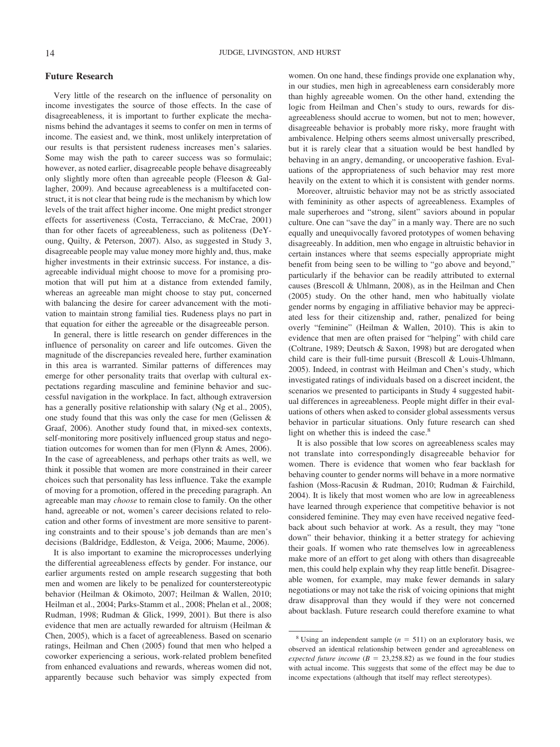# **Future Research**

Very little of the research on the influence of personality on income investigates the source of those effects. In the case of disagreeableness, it is important to further explicate the mechanisms behind the advantages it seems to confer on men in terms of income. The easiest and, we think, most unlikely interpretation of our results is that persistent rudeness increases men's salaries. Some may wish the path to career success was so formulaic; however, as noted earlier, disagreeable people behave disagreeably only slightly more often than agreeable people (Fleeson & Gallagher, 2009). And because agreeableness is a multifaceted construct, it is not clear that being rude is the mechanism by which low levels of the trait affect higher income. One might predict stronger effects for assertiveness (Costa, Terracciano, & McCrae, 2001) than for other facets of agreeableness, such as politeness (DeYoung, Quilty, & Peterson, 2007). Also, as suggested in Study 3, disagreeable people may value money more highly and, thus, make higher investments in their extrinsic success. For instance, a disagreeable individual might choose to move for a promising promotion that will put him at a distance from extended family, whereas an agreeable man might choose to stay put, concerned with balancing the desire for career advancement with the motivation to maintain strong familial ties. Rudeness plays no part in that equation for either the agreeable or the disagreeable person.

In general, there is little research on gender differences in the influence of personality on career and life outcomes. Given the magnitude of the discrepancies revealed here, further examination in this area is warranted. Similar patterns of differences may emerge for other personality traits that overlap with cultural expectations regarding masculine and feminine behavior and successful navigation in the workplace. In fact, although extraversion has a generally positive relationship with salary (Ng et al., 2005), one study found that this was only the case for men (Gelissen & Graaf, 2006). Another study found that, in mixed-sex contexts, self-monitoring more positively influenced group status and negotiation outcomes for women than for men (Flynn & Ames, 2006). In the case of agreeableness, and perhaps other traits as well, we think it possible that women are more constrained in their career choices such that personality has less influence. Take the example of moving for a promotion, offered in the preceding paragraph. An agreeable man may *choose* to remain close to family. On the other hand, agreeable or not, women's career decisions related to relocation and other forms of investment are more sensitive to parenting constraints and to their spouse's job demands than are men's decisions (Baldridge, Eddleston, & Veiga, 2006; Maume, 2006).

It is also important to examine the microprocesses underlying the differential agreeableness effects by gender. For instance, our earlier arguments rested on ample research suggesting that both men and women are likely to be penalized for counterstereotypic behavior (Heilman & Okimoto, 2007; Heilman & Wallen, 2010; Heilman et al., 2004; Parks-Stamm et al., 2008; Phelan et al., 2008; Rudman, 1998; Rudman & Glick, 1999, 2001). But there is also evidence that men are actually rewarded for altruism (Heilman & Chen, 2005), which is a facet of agreeableness. Based on scenario ratings, Heilman and Chen (2005) found that men who helped a coworker experiencing a serious, work-related problem benefited from enhanced evaluations and rewards, whereas women did not, apparently because such behavior was simply expected from

women. On one hand, these findings provide one explanation why, in our studies, men high in agreeableness earn considerably more than highly agreeable women. On the other hand, extending the logic from Heilman and Chen's study to ours, rewards for disagreeableness should accrue to women, but not to men; however, disagreeable behavior is probably more risky, more fraught with ambivalence. Helping others seems almost universally prescribed, but it is rarely clear that a situation would be best handled by behaving in an angry, demanding, or uncooperative fashion. Evaluations of the appropriateness of such behavior may rest more heavily on the extent to which it is consistent with gender norms.

Moreover, altruistic behavior may not be as strictly associated with femininity as other aspects of agreeableness. Examples of male superheroes and "strong, silent" saviors abound in popular culture. One can "save the day" in a manly way. There are no such equally and unequivocally favored prototypes of women behaving disagreeably. In addition, men who engage in altruistic behavior in certain instances where that seems especially appropriate might benefit from being seen to be willing to "go above and beyond," particularly if the behavior can be readily attributed to external causes (Brescoll & Uhlmann, 2008), as in the Heilman and Chen (2005) study. On the other hand, men who habitually violate gender norms by engaging in affiliative behavior may be appreciated less for their citizenship and, rather, penalized for being overly "feminine" (Heilman & Wallen, 2010). This is akin to evidence that men are often praised for "helping" with child care (Coltrane, 1989; Deutsch & Saxon, 1998) but are derogated when child care is their full-time pursuit (Brescoll & Louis-Uhlmann, 2005). Indeed, in contrast with Heilman and Chen's study, which investigated ratings of individuals based on a discreet incident, the scenarios we presented to participants in Study 4 suggested habitual differences in agreeableness. People might differ in their evaluations of others when asked to consider global assessments versus behavior in particular situations. Only future research can shed light on whether this is indeed the case.<sup>8</sup>

It is also possible that low scores on agreeableness scales may not translate into correspondingly disagreeable behavior for women. There is evidence that women who fear backlash for behaving counter to gender norms will behave in a more normative fashion (Moss-Racusin & Rudman, 2010; Rudman & Fairchild, 2004). It is likely that most women who are low in agreeableness have learned through experience that competitive behavior is not considered feminine. They may even have received negative feedback about such behavior at work. As a result, they may "tone down" their behavior, thinking it a better strategy for achieving their goals. If women who rate themselves low in agreeableness make more of an effort to get along with others than disagreeable men, this could help explain why they reap little benefit. Disagreeable women, for example, may make fewer demands in salary negotiations or may not take the risk of voicing opinions that might draw disapproval than they would if they were not concerned about backlash. Future research could therefore examine to what

<sup>&</sup>lt;sup>8</sup> Using an independent sample  $(n = 511)$  on an exploratory basis, we observed an identical relationship between gender and agreeableness on *expected future income*  $(B = 23,258.82)$  as we found in the four studies with actual income. This suggests that some of the effect may be due to income expectations (although that itself may reflect stereotypes).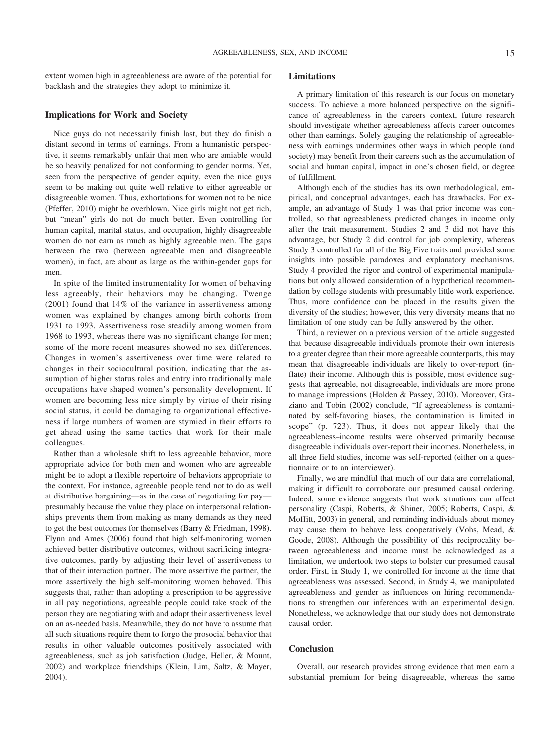extent women high in agreeableness are aware of the potential for backlash and the strategies they adopt to minimize it.

# **Implications for Work and Society**

Nice guys do not necessarily finish last, but they do finish a distant second in terms of earnings. From a humanistic perspective, it seems remarkably unfair that men who are amiable would be so heavily penalized for not conforming to gender norms. Yet, seen from the perspective of gender equity, even the nice guys seem to be making out quite well relative to either agreeable or disagreeable women. Thus, exhortations for women not to be nice (Pfeffer, 2010) might be overblown. Nice girls might not get rich, but "mean" girls do not do much better. Even controlling for human capital, marital status, and occupation, highly disagreeable women do not earn as much as highly agreeable men. The gaps between the two (between agreeable men and disagreeable women), in fact, are about as large as the within-gender gaps for men.

In spite of the limited instrumentality for women of behaving less agreeably, their behaviors may be changing. Twenge (2001) found that 14% of the variance in assertiveness among women was explained by changes among birth cohorts from 1931 to 1993. Assertiveness rose steadily among women from 1968 to 1993, whereas there was no significant change for men; some of the more recent measures showed no sex differences. Changes in women's assertiveness over time were related to changes in their sociocultural position, indicating that the assumption of higher status roles and entry into traditionally male occupations have shaped women's personality development. If women are becoming less nice simply by virtue of their rising social status, it could be damaging to organizational effectiveness if large numbers of women are stymied in their efforts to get ahead using the same tactics that work for their male colleagues.

Rather than a wholesale shift to less agreeable behavior, more appropriate advice for both men and women who are agreeable might be to adopt a flexible repertoire of behaviors appropriate to the context. For instance, agreeable people tend not to do as well at distributive bargaining—as in the case of negotiating for pay presumably because the value they place on interpersonal relationships prevents them from making as many demands as they need to get the best outcomes for themselves (Barry & Friedman, 1998). Flynn and Ames (2006) found that high self-monitoring women achieved better distributive outcomes, without sacrificing integrative outcomes, partly by adjusting their level of assertiveness to that of their interaction partner. The more assertive the partner, the more assertively the high self-monitoring women behaved. This suggests that, rather than adopting a prescription to be aggressive in all pay negotiations, agreeable people could take stock of the person they are negotiating with and adapt their assertiveness level on an as-needed basis. Meanwhile, they do not have to assume that all such situations require them to forgo the prosocial behavior that results in other valuable outcomes positively associated with agreeableness, such as job satisfaction (Judge, Heller, & Mount, 2002) and workplace friendships (Klein, Lim, Saltz, & Mayer, 2004).

# **Limitations**

A primary limitation of this research is our focus on monetary success. To achieve a more balanced perspective on the significance of agreeableness in the careers context, future research should investigate whether agreeableness affects career outcomes other than earnings. Solely gauging the relationship of agreeableness with earnings undermines other ways in which people (and society) may benefit from their careers such as the accumulation of social and human capital, impact in one's chosen field, or degree of fulfillment.

Although each of the studies has its own methodological, empirical, and conceptual advantages, each has drawbacks. For example, an advantage of Study 1 was that prior income was controlled, so that agreeableness predicted changes in income only after the trait measurement. Studies 2 and 3 did not have this advantage, but Study 2 did control for job complexity, whereas Study 3 controlled for all of the Big Five traits and provided some insights into possible paradoxes and explanatory mechanisms. Study 4 provided the rigor and control of experimental manipulations but only allowed consideration of a hypothetical recommendation by college students with presumably little work experience. Thus, more confidence can be placed in the results given the diversity of the studies; however, this very diversity means that no limitation of one study can be fully answered by the other.

Third, a reviewer on a previous version of the article suggested that because disagreeable individuals promote their own interests to a greater degree than their more agreeable counterparts, this may mean that disagreeable individuals are likely to over-report (inflate) their income. Although this is possible, most evidence suggests that agreeable, not disagreeable, individuals are more prone to manage impressions (Holden & Passey, 2010). Moreover, Graziano and Tobin (2002) conclude, "If agreeableness is contaminated by self-favoring biases, the contamination is limited in scope" (p. 723). Thus, it does not appear likely that the agreeableness–income results were observed primarily because disagreeable individuals over-report their incomes. Nonetheless, in all three field studies, income was self-reported (either on a questionnaire or to an interviewer).

Finally, we are mindful that much of our data are correlational, making it difficult to corroborate our presumed causal ordering. Indeed, some evidence suggests that work situations can affect personality (Caspi, Roberts, & Shiner, 2005; Roberts, Caspi, & Moffitt, 2003) in general, and reminding individuals about money may cause them to behave less cooperatively (Vohs, Mead, & Goode, 2008). Although the possibility of this reciprocality between agreeableness and income must be acknowledged as a limitation, we undertook two steps to bolster our presumed causal order. First, in Study 1, we controlled for income at the time that agreeableness was assessed. Second, in Study 4, we manipulated agreeableness and gender as influences on hiring recommendations to strengthen our inferences with an experimental design. Nonetheless, we acknowledge that our study does not demonstrate causal order.

# **Conclusion**

Overall, our research provides strong evidence that men earn a substantial premium for being disagreeable, whereas the same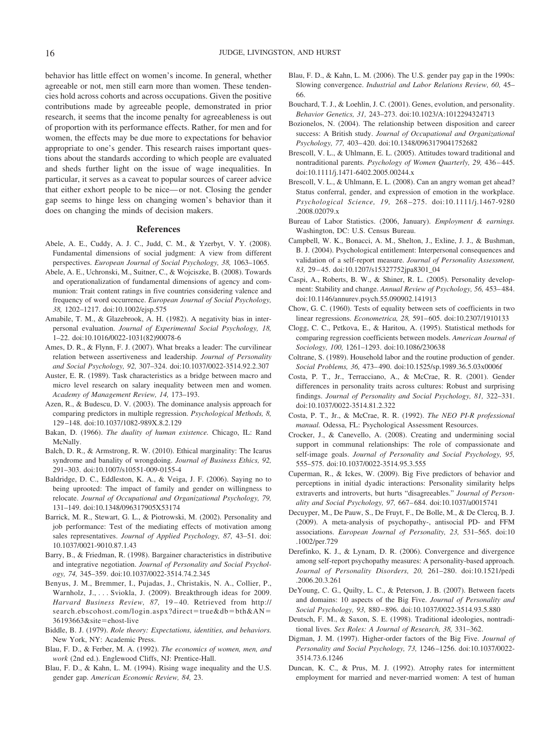behavior has little effect on women's income. In general, whether agreeable or not, men still earn more than women. These tendencies hold across cohorts and across occupations. Given the positive contributions made by agreeable people, demonstrated in prior research, it seems that the income penalty for agreeableness is out of proportion with its performance effects. Rather, for men and for women, the effects may be due more to expectations for behavior appropriate to one's gender. This research raises important questions about the standards according to which people are evaluated and sheds further light on the issue of wage inequalities. In particular, it serves as a caveat to popular sources of career advice that either exhort people to be nice— or not. Closing the gender gap seems to hinge less on changing women's behavior than it does on changing the minds of decision makers.

#### **References**

- Abele, A. E., Cuddy, A. J. C., Judd, C. M., & Yzerbyt, V. Y. (2008). Fundamental dimensions of social judgment: A view from different perspectives. *European Journal of Social Psychology, 38,* 1063–1065.
- Abele, A. E., Uchronski, M., Suitner, C., & Wojciszke, B. (2008). Towards and operationalization of fundamental dimensions of agency and communion: Trait content ratings in five countries considering valence and frequency of word occurrence. *European Journal of Social Psychology, 38,* 1202–1217. doi:10.1002/ejsp.575
- Amabile, T. M., & Glazebrook, A. H. (1982). A negativity bias in interpersonal evaluation. *Journal of Experimental Social Psychology, 18,* 1–22. doi:10.1016/0022-1031(82)90078-6
- Ames, D. R., & Flynn, F. J. (2007). What breaks a leader: The curvilinear relation between assertiveness and leadership. *Journal of Personality and Social Psychology, 92,* 307–324. doi:10.1037/0022-3514.92.2.307
- Auster, E. R. (1989). Task characteristics as a bridge between macro and micro level research on salary inequality between men and women. *Academy of Management Review, 14,* 173–193.
- Azen, R., & Budescu, D. V. (2003). The dominance analysis approach for comparing predictors in multiple regression. *Psychological Methods, 8,* 129 –148. doi:10.1037/1082-989X.8.2.129
- Bakan, D. (1966). *The duality of human existence.* Chicago, IL: Rand McNally.
- Balch, D. R., & Armstrong, R. W. (2010). Ethical marginality: The Icarus syndrome and banality of wrongdoing. *Journal of Business Ethics, 92,* 291–303. doi:10.1007/s10551-009-0155-4
- Baldridge, D. C., Eddleston, K. A., & Veiga, J. F. (2006). Saying no to being uprooted: The impact of family and gender on willingness to relocate. *Journal of Occupational and Organizational Psychology, 79,* 131–149. doi:10.1348/096317905X53174
- Barrick, M. R., Stewart, G. L., & Piotrowski, M. (2002). Personality and job performance: Test of the mediating effects of motivation among sales representatives. *Journal of Applied Psychology, 87,* 43–51. doi: 10.1037/0021-9010.87.1.43
- Barry, B., & Friedman, R. (1998). Bargainer characteristics in distributive and integrative negotiation. *Journal of Personality and Social Psychology, 74,* 345–359. doi:10.1037/0022-3514.74.2.345
- Benyus, J. M., Bremmer, I., Pujadas, J., Christakis, N. A., Collier, P., Warnholz, J.,... Sviokla, J. (2009). Breakthrough ideas for 2009. *Harvard Business Review, 87,* 19 – 40. Retrieved from http:// search.ebscohost.com/login.aspx?direct=true&db=bth&AN=  $36193663$ &site=ehost-live
- Biddle, B. J. (1979). *Role theory: Expectations, identities, and behaviors.* New York, NY: Academic Press.
- Blau, F. D., & Ferber, M. A. (1992). *The economics of women, men, and work* (2nd ed.). Englewood Cliffs, NJ: Prentice-Hall.
- Blau, F. D., & Kahn, L. M. (1994). Rising wage inequality and the U.S. gender gap. *American Economic Review, 84,* 23.
- Blau, F. D., & Kahn, L. M. (2006). The U.S. gender pay gap in the 1990s: Slowing convergence. *Industrial and Labor Relations Review, 60,* 45– 66.
- Bouchard, T. J., & Loehlin, J. C. (2001). Genes, evolution, and personality. *Behavior Genetics, 31,* 243–273. doi:10.1023/A:1012294324713
- Bozionelos, N. (2004). The relationship between disposition and career success: A British study. *Journal of Occupational and Organizational Psychology, 77,* 403– 420. doi:10.1348/0963179041752682
- Brescoll, V. L., & Uhlmann, E. L. (2005). Attitudes toward traditional and nontraditional parents. *Psychology of Women Quarterly, 29,* 436 – 445. doi:10.1111/j.1471-6402.2005.00244.x
- Brescoll, V. L., & Uhlmann, E. L. (2008). Can an angry woman get ahead? Status conferral, gender, and expression of emotion in the workplace. *Psychological Science, 19,* 268 –275. doi:10.1111/j.1467-9280 .2008.02079.x
- Bureau of Labor Statistics. (2006, January). *Employment & earnings.* Washington, DC: U.S. Census Bureau.
- Campbell, W. K., Bonacci, A. M., Shelton, J., Exline, J. J., & Bushman, B. J. (2004). Psychological entitlement: Interpersonal consequences and validation of a self-report measure. *Journal of Personality Assessment, 83,* 29 – 45. doi:10.1207/s15327752jpa8301\_04
- Caspi, A., Roberts, B. W., & Shiner, R. L. (2005). Personality development: Stability and change. *Annual Review of Psychology, 56,* 453– 484. doi:10.1146/annurev.psych.55.090902.141913
- Chow, G. C. (1960). Tests of equality between sets of coefficients in two linear regressions. *Econometrica, 28,* 591– 605. doi:10.2307/1910133
- Clogg, C. C., Petkova, E., & Haritou, A. (1995). Statistical methods for comparing regression coefficients between models. *American Journal of Sociology, 100,* 1261–1293. doi:10.1086/230638
- Coltrane, S. (1989). Household labor and the routine production of gender. *Social Problems, 36,* 473– 490. doi:10.1525/sp.1989.36.5.03x0006f
- Costa, P. T., Jr., Terracciano, A., & McCrae, R. R. (2001). Gender differences in personality traits across cultures: Robust and surprising findings. *Journal of Personality and Social Psychology, 81,* 322–331. doi:10.1037/0022-3514.81.2.322
- Costa, P. T., Jr., & McCrae, R. R. (1992). *The NEO PI-R professional manual.* Odessa, FL: Psychological Assessment Resources.
- Crocker, J., & Canevello, A. (2008). Creating and undermining social support in communal relationships: The role of compassionate and self-image goals. *Journal of Personality and Social Psychology, 95,* 555–575. doi:10.1037/0022-3514.95.3.555
- Cuperman, R., & Ickes, W. (2009). Big Five predictors of behavior and perceptions in initial dyadic interactions: Personality similarity helps extraverts and introverts, but hurts "disagreeables." *Journal of Personality and Social Psychology, 97,* 667– 684. doi:10.1037/a0015741
- Decuyper, M., De Pauw, S., De Fruyt, F., De Bolle, M., & De Clercq, B. J. (2009). A meta-analysis of psychopathy-, antisocial PD- and FFM associations. *European Journal of Personality, 23,* 531–565. doi:10 .1002/per.729
- Derefinko, K. J., & Lynam, D. R. (2006). Convergence and divergence among self-report psychopathy measures: A personality-based approach. *Journal of Personality Disorders, 20,* 261–280. doi:10.1521/pedi .2006.20.3.261
- DeYoung, C. G., Quilty, L. C., & Peterson, J. B. (2007). Between facets and domains: 10 aspects of the Big Five. *Journal of Personality and Social Psychology, 93,* 880 – 896. doi:10.1037/0022-3514.93.5.880
- Deutsch, F. M., & Saxon, S. E. (1998). Traditional ideologies, nontraditional lives. *Sex Roles: A Journal of Research, 38,* 331–362.
- Digman, J. M. (1997). Higher-order factors of the Big Five. *Journal of Personality and Social Psychology, 73,* 1246 –1256. doi:10.1037/0022- 3514.73.6.1246
- Duncan, K. C., & Prus, M. J. (1992). Atrophy rates for intermittent employment for married and never-married women: A test of human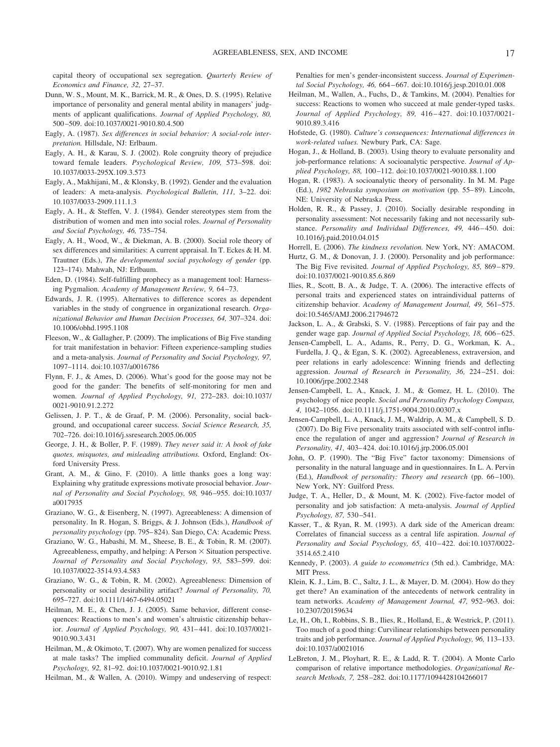capital theory of occupational sex segregation. *Quarterly Review of Economics and Finance, 32,* 27–37.

- Dunn, W. S., Mount, M. K., Barrick, M. R., & Ones, D. S. (1995). Relative importance of personality and general mental ability in managers' judgments of applicant qualifications. *Journal of Applied Psychology, 80,* 500 –509. doi:10.1037/0021-9010.80.4.500
- Eagly, A. (1987). *Sex differences in social behavior: A social-role interpretation.* Hillsdale, NJ: Erlbaum.
- Eagly, A. H., & Karau, S. J. (2002). Role congruity theory of prejudice toward female leaders. *Psychological Review, 109,* 573–598. doi: 10.1037/0033-295X.109.3.573
- Eagly, A., Makhijani, M., & Klonsky, B. (1992). Gender and the evaluation of leaders: A meta-analysis. *Psychological Bulletin, 111,* 3–22. doi: 10.1037/0033-2909.111.1.3
- Eagly, A. H., & Steffen, V. J. (1984). Gender stereotypes stem from the distribution of women and men into social roles. *Journal of Personality and Social Psychology, 46,* 735–754.
- Eagly, A. H., Wood, W., & Diekman, A. B. (2000). Social role theory of sex differences and similarities: A current appraisal. In T. Eckes & H. M. Trautner (Eds.), *The developmental social psychology of gender* (pp. 123–174). Mahwah, NJ: Erlbaum.
- Eden, D. (1984). Self-fulfilling prophecy as a management tool: Harnessing Pygmalion. *Academy of Management Review, 9,* 64 –73.
- Edwards, J. R. (1995). Alternatives to difference scores as dependent variables in the study of congruence in organizational research. *Organizational Behavior and Human Decision Processes, 64,* 307–324. doi: 10.1006/obhd.1995.1108
- Fleeson, W., & Gallagher, P. (2009). The implications of Big Five standing for trait manifestation in behavior: Fifteen experience-sampling studies and a meta-analysis. *Journal of Personality and Social Psychology, 97,* 1097–1114. doi:10.1037/a0016786
- Flynn, F. J., & Ames, D. (2006). What's good for the goose may not be good for the gander: The benefits of self-monitoring for men and women. *Journal of Applied Psychology, 91,* 272–283. doi:10.1037/ 0021-9010.91.2.272
- Gelissen, J. P. T., & de Graaf, P. M. (2006). Personality, social background, and occupational career success. *Social Science Research, 35,* 702–726. doi:10.1016/j.ssresearch.2005.06.005
- George, J. H., & Boller, P. F. (1989). *They never said it: A book of fake quotes, misquotes, and misleading attributions.* Oxford, England: Oxford University Press.
- Grant, A. M., & Gino, F. (2010). A little thanks goes a long way: Explaining why gratitude expressions motivate prosocial behavior. *Journal of Personality and Social Psychology, 98,* 946 –955. doi:10.1037/ a0017935
- Graziano, W. G., & Eisenberg, N. (1997). Agreeableness: A dimension of personality. In R. Hogan, S. Briggs, & J. Johnson (Eds.), *Handbook of personality psychology* (pp. 795– 824). San Diego, CA: Academic Press.
- Graziano, W. G., Habashi, M. M., Sheese, B. E., & Tobin, R. M. (2007). Agreeableness, empathy, and helping: A Person  $\times$  Situation perspective. *Journal of Personality and Social Psychology, 93,* 583–599. doi: 10.1037/0022-3514.93.4.583
- Graziano, W. G., & Tobin, R. M. (2002). Agreeableness: Dimension of personality or social desirability artifact? *Journal of Personality, 70,* 695–727. doi:10.1111/1467-6494.05021
- Heilman, M. E., & Chen, J. J. (2005). Same behavior, different consequences: Reactions to men's and women's altruistic citizenship behavior. *Journal of Applied Psychology, 90,* 431– 441. doi:10.1037/0021- 9010.90.3.431
- Heilman, M., & Okimoto, T. (2007). Why are women penalized for success at male tasks? The implied communality deficit. *Journal of Applied Psychology, 92,* 81–92. doi:10.1037/0021-9010.92.1.81

Heilman, M., & Wallen, A. (2010). Wimpy and undeserving of respect:

Penalties for men's gender-inconsistent success. *Journal of Experimental Social Psychology, 46,* 664 – 667. doi:10.1016/j.jesp.2010.01.008

- Heilman, M., Wallen, A., Fuchs, D., & Tamkins, M. (2004). Penalties for success: Reactions to women who succeed at male gender-typed tasks. *Journal of Applied Psychology, 89,* 416 – 427. doi:10.1037/0021- 9010.89.3.416
- Hofstede, G. (1980). *Culture's consequences: International differences in work-related values.* Newbury Park, CA: Sage.
- Hogan, J., & Holland, B. (2003). Using theory to evaluate personality and job-performance relations: A socioanalytic perspective. *Journal of Applied Psychology, 88,* 100 –112. doi:10.1037/0021-9010.88.1.100
- Hogan, R. (1983). A socioanalytic theory of personality. In M. M. Page (Ed.), *1982 Nebraska symposium on motivation* (pp. 55– 89). Lincoln, NE: University of Nebraska Press.
- Holden, R. R., & Passey, J. (2010). Socially desirable responding in personality assessment: Not necessarily faking and not necessarily substance. Personality and Individual Differences, 49, 446-450. doi: 10.1016/j.paid.2010.04.015
- Horrell, E. (2006). *The kindness revolution.* New York, NY: AMACOM.
- Hurtz, G. M., & Donovan, J. J. (2000). Personality and job performance: The Big Five revisited. *Journal of Applied Psychology, 85,* 869 – 879. doi:10.1037/0021-9010.85.6.869
- Ilies, R., Scott, B. A., & Judge, T. A. (2006). The interactive effects of personal traits and experienced states on intraindividual patterns of citizenship behavior. *Academy of Management Journal, 49,* 561–575. doi:10.5465/AMJ.2006.21794672
- Jackson, L. A., & Grabski, S. V. (1988). Perceptions of fair pay and the gender wage gap. *Journal of Applied Social Psychology, 18, 606–625*.
- Jensen-Campbell, L. A., Adams, R., Perry, D. G., Workman, K. A., Furdella, J. Q., & Egan, S. K. (2002). Agreeableness, extraversion, and peer relations in early adolescence: Winning friends and deflecting aggression. *Journal of Research in Personality, 36,* 224 –251. doi: 10.1006/jrpe.2002.2348
- Jensen-Campbell, L. A., Knack, J. M., & Gomez, H. L. (2010). The psychology of nice people. *Social and Personality Psychology Compass, 4,* 1042–1056. doi:10.1111/j.1751-9004.2010.00307.x
- Jensen-Campbell, L. A., Knack, J. M., Waldrip, A. M., & Campbell, S. D. (2007). Do Big Five personality traits associated with self-control influence the regulation of anger and aggression? *Journal of Research in Personality, 41,* 403– 424. doi:10.1016/j.jrp.2006.05.001
- John, O. P. (1990). The "Big Five" factor taxonomy: Dimensions of personality in the natural language and in questionnaires. In L. A. Pervin (Ed.), *Handbook of personality: Theory and research* (pp. 66-100). New York, NY: Guilford Press.
- Judge, T. A., Heller, D., & Mount, M. K. (2002). Five-factor model of personality and job satisfaction: A meta-analysis. *Journal of Applied Psychology, 87,* 530 –541.
- Kasser, T., & Ryan, R. M. (1993). A dark side of the American dream: Correlates of financial success as a central life aspiration. *Journal of Personality and Social Psychology, 65,* 410 – 422. doi:10.1037/0022- 3514.65.2.410
- Kennedy, P. (2003). *A guide to econometrics* (5th ed.). Cambridge, MA: MIT Press.
- Klein, K. J., Lim, B. C., Saltz, J. L., & Mayer, D. M. (2004). How do they get there? An examination of the antecedents of network centrality in team networks. *Academy of Management Journal, 47,* 952–963. doi: 10.2307/20159634
- Le, H., Oh, I., Robbins, S. B., Ilies, R., Holland, E., & Westrick, P. (2011). Too much of a good thing: Curvilinear relationships between personality traits and job performance. *Journal of Applied Psychology, 96,* 113–133. doi:10.1037/a0021016
- LeBreton, J. M., Ployhart, R. E., & Ladd, R. T. (2004). A Monte Carlo comparison of relative importance methodologies. *Organizational Research Methods, 7,* 258 –282. doi:10.1177/1094428104266017